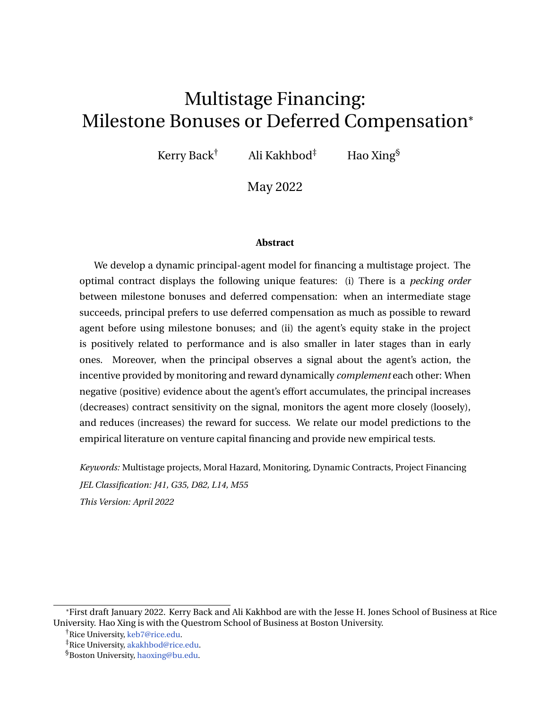# Multistage Financing: Milestone Bonuses or Deferred Compensation\*

Kerry Back<sup>†</sup> Ali Kakhbod<sup>‡</sup> Hao Xing<sup>§</sup>

May 2022

#### **Abstract**

We develop a dynamic principal-agent model for financing a multistage project. The optimal contract displays the following unique features: (i) There is a *pecking order* between milestone bonuses and deferred compensation: when an intermediate stage succeeds, principal prefers to use deferred compensation as much as possible to reward agent before using milestone bonuses; and (ii) the agent's equity stake in the project is positively related to performance and is also smaller in later stages than in early ones. Moreover, when the principal observes a signal about the agent's action, the incentive provided by monitoring and reward dynamically *complement* each other: When negative (positive) evidence about the agent's effort accumulates, the principal increases (decreases) contract sensitivity on the signal, monitors the agent more closely (loosely), and reduces (increases) the reward for success. We relate our model predictions to the empirical literature on venture capital financing and provide new empirical tests.

*Keywords:* Multistage projects, Moral Hazard, Monitoring, Dynamic Contracts, Project Financing *JEL Classification: J41, G35, D82, L14, M55 This Version: April 2022*

<sup>\*</sup>First draft January 2022. Kerry Back and Ali Kakhbod are with the Jesse H. Jones School of Business at Rice University. Hao Xing is with the Questrom School of Business at Boston University.

<sup>†</sup>Rice University, [keb7@rice.edu.](mailto:keb7@rice.edu)

<sup>‡</sup>Rice University, [akakhbod@rice.edu.](mailto:akakhbod@rice.edu)

<sup>§</sup>Boston University, [haoxing@bu.edu.](mailto:haoxing@bu.edu)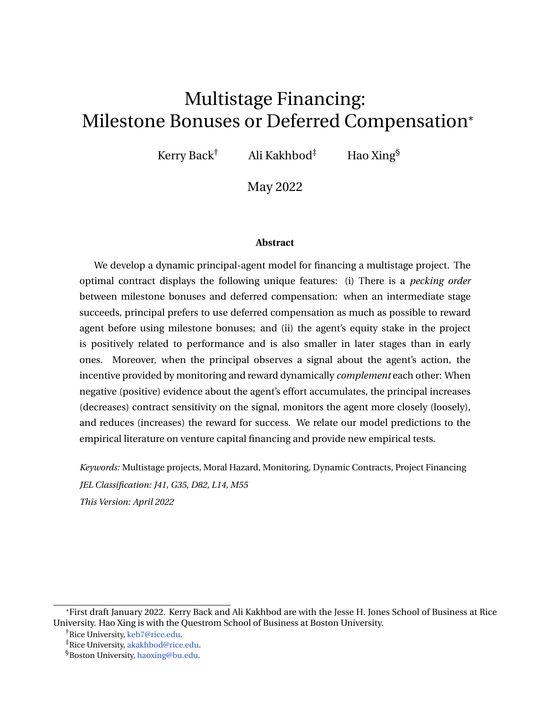### **Introduction**

Research and development (R&D) is an important contributor to economic growth. As [Grossman and Helpman](#page-39-0) [\(1994\)](#page-39-0) note, technological innovation has been the driving force behind inexorably rising standards of living over the long run. One important form of corporate innovation is high-growth startups backed by venture capital (VC). These startups play a disproportionate role in innovation and productivity growth [\(Kortum and Lerner](#page-39-1) [\(2000\)](#page-39-1); [Puri and Zarutskie](#page-40-0) [\(2012\)](#page-40-0)).

R&D projects and VC-backed startups share several common features. First, both are typically organized under an agency relationship that combines both technical expertise and capital. This form of separation between technical experts and financiers leads to misalignment. In addition, financiers cannot fully monitor or understand actions taken by the technical experts who are responsible for executing the project or venture. This creates moral hazard between technical experts and financiers. Second, complex projects often require the completion of multiple sequential stages before their final benefits can be realized. For example, new drug development requires multiple steps: laboratory testing, animal trials, and human trials. Only after all these sequential stages are successfully completed can the approval request be submitted. Similarly, VC-backed startups typically raise funding in multiple stages [\(Gompers](#page-38-0) [\(1995\)](#page-38-0)). Third, R&D projects and startups heavily depend on a small group of key personnel. One important source of the extreme skewness in startups' performance is due to the initial human capital endowment of their founding entrepreneur [\(Lazear](#page-39-2) [\(2004\)](#page-39-2)). As an example, after Steven Jobs was forced out of Apple in 1985, the company struggled due to competition from Microsoft and IBM. Jobs returned to Apple in 1997 as the CEO. He was largely responsible for helping revive Apple, which had been on the verge of bankruptcy. The NeXTSTEP platform, developed by Jobs' company NeXT during his years away from Apple, became the foundation Apple's new operating system Mac OS X. This example clearly shows that Steven Jobs' human capital is vital for Apple's early success.

Motivated by these three salient features of a complex project, we consider a dynamic principal-agent model in which a risk-neutral principal (she) offers a contract to a riskneutral agent (he) in order to execute a project. The project has multiple stages. Later stages start only when the previous stages are successfully completed. The project does not provide intermediate cash flow before the project completion but generates a lump-sum payoff when the final stage succeeds. Due to uncertainties and challenges, completion of different stages arrive randomly, which we model using the jump time of an inhomogeneous Poisson process. The agent's effort determines the intensity of the Poisson process: high (low) effort increases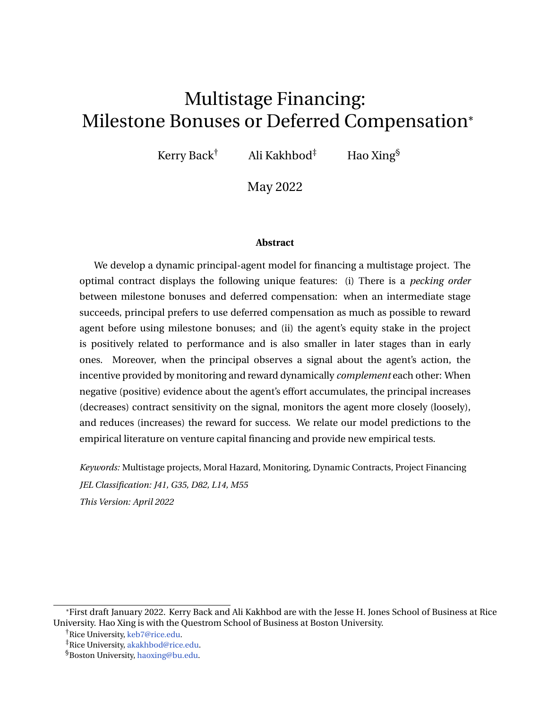(decreases) the jump intensity, which reduces (prolongs) the expected completion time of each stage. The agent's effort also positively impacts the probability of success at each stage. If the agent shirks from the recommended effort, he receives a flowing private benefit. The principal cannot monitor the agent's effort directly, creating moral hazard in the project.

The agent is protected by limited liability. When the agent's value from the project reaches an outside value, reflecting the agent's market worthiness, the agent quits to protect his limited liability, and the project is terminated before completion. Project termination is inefficient for the principal because the project is prematurely stopped before realizing its potential. This condition reflects the importance of the agent's human capital to the project.

In our baseline model, the principal uses a sequence of deferred compensation and milestone cash bonuses at the end of each stage to incentivize the agent. When an intermediate stage is successfully completed, the principal can either reward the agent with milestone cash bonuses or deferred compensation, which promises the agent future rewards if further milestones are achieved. We show that there is a *pecking order* among these two forms of compensation: The principal prefers deferred compensation to milestone bonuses. In fact, only when the deferred compensation reaches its maximum level does the principal award the agent with milestone bonuses. The reason for this result is that the marginal benefit of rewarding the agent with cash is less than the marginal cost, due to the possibility of inefficient project termination. The principal prefers to use deferred compensation to maintain the agent's skin in the project and mitigate the risk of inefficient project termination. Optimal milestone bonuses are awarded using a threshold strategy only when the agent's continuation utility is sufficiently high, such that the marginal benefit of cash bonuses equals the marginal cost. In that case, the principal tops up deferred compensation with milestone bonuses.

This result is related to the evolution of founder-CEO compensation in VC-backed startups studied by [Ewens, Nanda, and Stanton](#page-38-1) [\(2020\)](#page-38-1). The authors show that having a "product–market fit" is a significant milestone, after which cash compensation increases significantly for founder-CEOs. They argue that product–market fit reduces the reliance on key human capital and reduces the threat of inefficient project termination due to the departure of key personnel. This evidence is consistent with our result in that only when the project is sufficiently far from termination is the agent compensated with cash.

Our model also shows that the agent's equity stake is smaller in later stages than in early stages. This is due to the resolution of uncertainty in later stages, which increases the project value for the principal. For the same agent's continuation utility, the agent's proportion in the value of the project and his equity stake decrease as a result. A project faces various sources of uncertainty. If early stages fail, the project cannot reach its final completion to realize its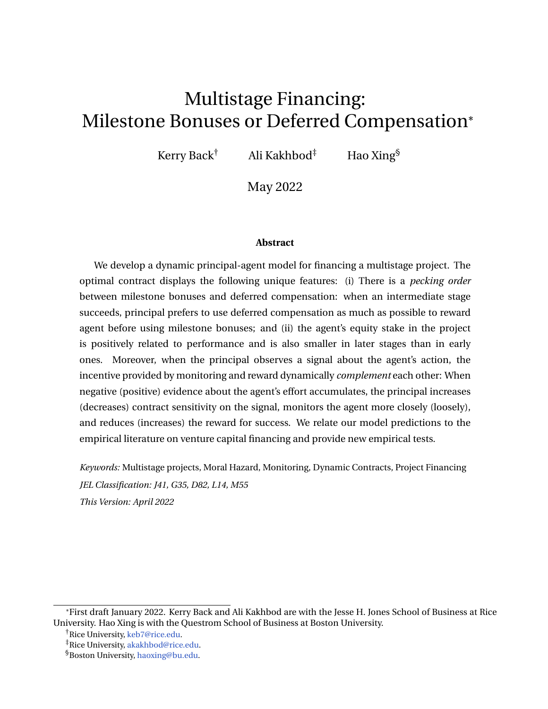payoff. In addition, the project payoff can be uncertain because a low type project generates a low payoff even if all stages are successful. In later stages, project success is more certain. Because early stages have been successfully completed, the principal also learns about the viability of the project and terminates low type projects in early stages. Both circumstances lead to higher expected payoffs in later stages and, therefore, higher project values for the principal. This result is consistent with [Bengtsson and Sensoy](#page-37-0) [\(2015\)](#page-37-0), who document that an entrepreneur's equity stake is lower in later funding rounds. In addition, [Ewens, Nanda, and](#page-38-1) [Stanton](#page-38-1) [\(2020\)](#page-38-1) show that an entrepreneur's equity stake decreases with firm age.

We consider a natural extension of the baseline model in which the principal can monitor the agent's effort by observing a signal about the agent's effort. The signal can be interpreted as either the agent's working hours or as regularly submitted status updates, both of which are noisy proxies for the agent's true effort. In this model extension, the principal can improve the signal accuracy, but subject to a flow cost proportional to the signal precision. A negative signal is interpreted by the principal as the agent shirking from his recommended effort, and the agent is punished by the principal when negative signals accumulate. Conversely, the agent is rewarded when positive signals of his effort are observed. Therefore, monitoring can be used as a "stick" that punishes the agent for negative evidence. Meanwhile, deferred compensation and milestone bonuses function like a "carrot" that rewards the agent for successful completion of each stage. The principal combines the carrot and the stick to incentivize the agent.

We show that monitoring and reward *complement* each other in the optimal contract. When positive evidence of the agent's effort accumulates, the principal increases the reward and relaxes monitoring. As a result, the optimal contract relies more on the carrot to motivate the agent. Meanwhile, when negative evidence of the agent's effort accumulates, the principal gradually replaces the carrot with the stick — reducing the reward and increasing the contract sensitivity to the signal, which elevates the stick and penalizes the agent more if further negative evidence continues to build. The intuition for this dynamic and complementary relation is as follows: When negative evidence about the agent's effort accumulates, the agent's continuation utility decreases and the project moves closer to inefficient termination. In this case, a negative component in the agent's expected continuation utility, induced by the reward, further reduces the distance between the agent's continuation utility and his outside value, thereby decreasing the distance to the project's inefficient termination. To mitigate termination risk, the principal gradually reduces her reward and increases the contract sensitivity of monitoring. Even though volatility in the agent's continuation utility also increases with contract sensitivity, the effect of volatility on the agent's continuation utility depends on whether incoming shocks are positive or negative.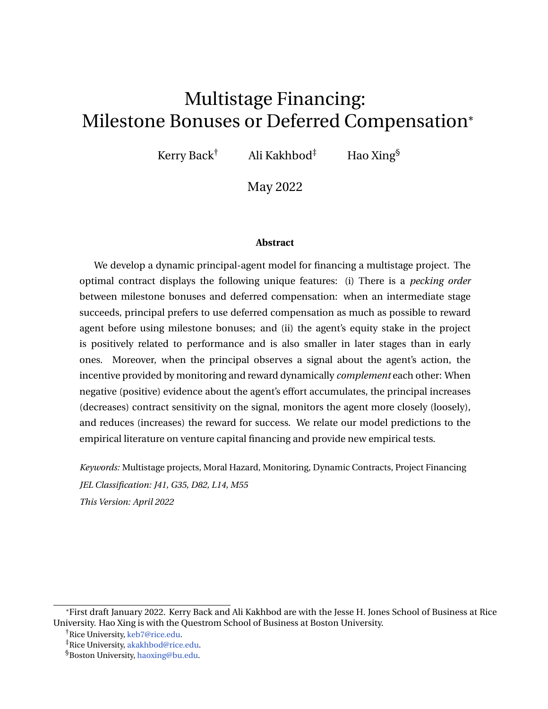This impact on volatility is less damaging than a reduction in the expected continuation utility induced by the reward.

Not only does the reward increase with performance, our model shows that the statedependence is also more significant in early stages than in later ones. This finding is consistent with the empirical evidence of [Kaplan and Strömberg](#page-39-3) [\(2003\)](#page-39-3). The authors document that entrepreneurs have more cash flow rights under good performance and that state-contingencies are significantly greater in first VC rounds compared to subsequent ones.

When the project is close to its inefficient termination, the principal not only increases the contract sensitivity of the signal, but also increases the signal precision, thereby monitoring the agent more closely. When the project is far from its termination, the principal loosens monitoring and decreases the signal precision. This result connects to the board supervision in [Kaplan and Strömberg](#page-39-3) [\(2003\)](#page-39-3). The authors show that VCs get more board control rights and voting control after poor performance. However, as performance improves, VCs return most control rights to the entrepreneurs.

The optimal contract is implemented via long-term debt, equity, and a credit line. The maximum allowance in the credit line varies with the stage. At the beginning of each stage, the balance on the credit line is reduced or cleared to start a new stage.

Beyond the connections to the empirical literature mentioned above, we also propose two empirical tests of our model predictions. To test the pecking order between milestone bonuses and deferred compensation, we propose using the data set from [Oyer](#page-39-4) [\(2004\)](#page-39-4) and [Oyer and Schaefer\(2005\)](#page-40-1). They empirically show that firms generally prefer granting deferred compensation (e.g., stock options) to their employees over paying cash bonuses (milestone bonuses) in order to improve retention. It would be interesting to investigate the threshold under which firms prefer to pay via deferred compensation rather than a cash salary. To test the complementarity between monitoring and reward, we propose using the data set from [Bernstein, Giroud, and Townsend](#page-38-2) [\(2016\)](#page-38-2). They show that the introduction of new airline routes that reduce VCs' travel times to their existing portfolio companies increase VCs' involvement and the likelihood of successful exit. Using VC contracts with their portfolio companies, researchers could examine whether cashflow rights, equity stakes, or other forms of reward are reduced after the introduction of new airline routes.

**Related Literature.** Our paper is related to the literature on contracting for multistage projects, for example [Green and Taylor](#page-39-5) [\(2006\)](#page-39-5) and [Mayer](#page-39-6) [\(2021\)](#page-39-6). In these two papers, intermediate progress or project failure is privately observed. [Green and Taylor](#page-39-5) [\(2006\)](#page-39-5) find that a soft deadline and self-reporting can mitigate the incentive of shirking as the hard deadline approaches. [Mayer](#page-39-6) [\(2021\)](#page-39-6) finds that payment for failure after an unconditional financing period incentivizes agents to truthfully report failure. Our model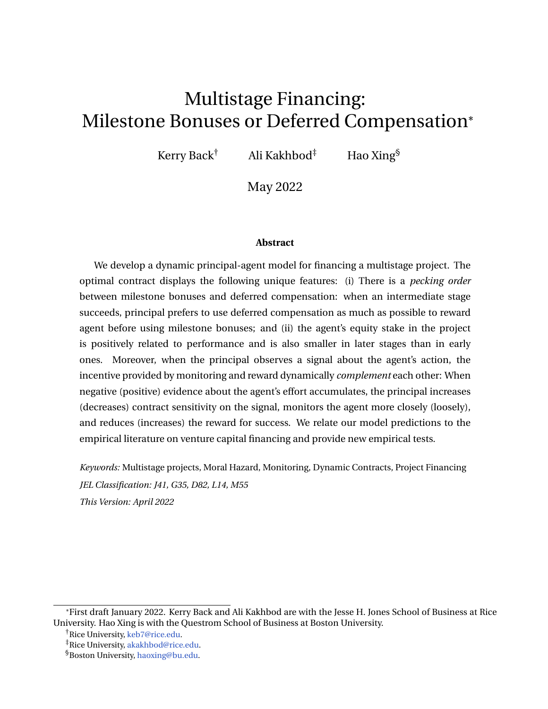assumes that intermediate progress or failure is publicly observable. Different from the aforementioned two papers, the project in our model is inefficiently terminated when the agent's continuation utility in the project reaches his outside value. This provision reflects the agent's limited commitment in his human capital. We focus on the impact of this agency friction on the choice of deferred compensation versus milestone bonuses at intermediate progress points. [Toxvaerd](#page-40-2) [\(2006\)](#page-40-2) studies a multistage project with observable completions. The optimal contract takes into account both risk sharing and incentive provision. However, the project in [Toxvaerd](#page-40-2) [\(2006\)](#page-40-2) does not involve inefficient termination. [Varas](#page-40-3) [\(2018\)](#page-40-3) examines the impact of managerial short-termism. The optimal contract breaks up into two phases in the state space of agent's continuation utility. When the agent's rent is low, the contract enters a stationary phase, where incentives are provided by the threat of termination.

Our model is also related to the literature on monitoring in contracting settings. Beginning with [Townsend](#page-40-4) [\(1979\)](#page-40-4), a variety of studies have used monitoring to conduct costly state verification in a static setting with adverse selection issues. [Dye](#page-38-3) [\(1986\)](#page-38-3) examines costly state verification in a static setting with moral hazard concerns. In continuous-time dynamic settings, [Piskorski and Westerfield](#page-40-5) [\(2016\)](#page-40-5), [Malenko](#page-39-7) [\(2019\)](#page-39-7), [Varas, Marinovic, and](#page-40-6) [Skrzypacz](#page-40-6) [\(2020\)](#page-40-6), and [Chen, Sun, and Xiao](#page-38-4) [\(2020\)](#page-38-4) analyze optimal dynamic contracts when the principal can monitor the agent's hidden action or the project's hidden type.

[Piskorski and Westerfield](#page-40-5) [\(2016\)](#page-40-5) predict a hump-shaped relation between monitoring and an agent's continuation utility because of the limited scope of punishment when the agent's continuation utility is low. In our model, the principal chooses the magnitude of the penalty via the contract sensitivity to a monitored signal. In the optimal contract, the agent is penalized more severely when negative evidence against his effort accumulates. This induces a monotone decreasing relation between monitoring and the agent's continuation utility. In particular, when the agent's continuation utility reaches its maximum value, monitoring is turned off completely.

The optimal monitoring in our model resembles the "lower-tailed" structure in [Dye](#page-38-3) [\(1986\)](#page-38-3): Monitoring is more intense (both choosing high signal precision and imposing a harsh penalty) when negative evidence accumulates. Monitoring also takes place in [Chen,](#page-38-4) [Sun, and Xiao](#page-38-4) [\(2020\)](#page-38-4) when the agent's continuation utility is low and in [Malenko](#page-39-7) [\(2019\)](#page-39-7) when the reported project type is high. Our mechanism of the lower-tailed structure is different: Due to the possibility of inefficient project termination, the marginal benefit of monitoring is high when the project is close to termination. Our model also combines the punishment mechanism of monitoring and the reward mechanism of bonuses, showing the complementarity between monitoring and reward. While the optimal monitoring in our model is continuous, the optimal monitoring in [Varas, Marinovic, and Skrzypacz](#page-40-6) [\(2020\)](#page-40-6) can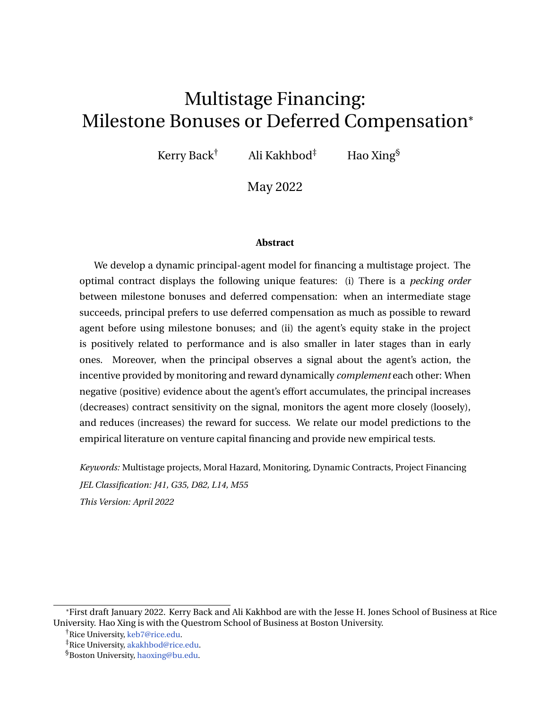be either deterministic with periodic reviews or random, depending on whether information or incentive provision is the principal's main concern.

Our paper builds on the literature on dynamic contracting in continuous time, which began with the seminal papers of [DeMarzo and Sannikov](#page-38-5) [\(2006\)](#page-38-5), [Biais, Mariotti, Plantin,](#page-38-6) [and Rochet](#page-38-6) [\(2007\)](#page-38-6), and [Sannikov](#page-40-7) [\(2008\)](#page-40-7) and includes more recent contributions by [He](#page-39-8) [\(2009,](#page-39-8) [2011,](#page-39-9) [2012\)](#page-39-10), [Biais, Mariotti, Rochet, and Villeneuve](#page-38-7) [\(2010\)](#page-38-7), [Hoffmann and Pfeil](#page-39-11) [\(2010\)](#page-39-11), [DeMarzo, Fishman, He, and Wang](#page-38-8) [\(2012\)](#page-38-8), [Zhu](#page-40-8) [\(2013\)](#page-40-8), and [Williams](#page-40-9) [\(2015\)](#page-40-9), among others. Our paper focuses on the dynamic mechanism in multistage settings and analyzes the interaction between monitoring and reward in the context of multistage project financing. Similar to papers with Poisson arrivals (e.g., [Biais, Mariotti, Rochet, and Villeneuve](#page-38-7) [\(2010\)](#page-38-7), [Hoffmann and Pfeil](#page-39-11) [\(2010\)](#page-39-11), [Wong](#page-40-10) [\(2019\)](#page-40-10)), in our model, Poisson jumps arrive finite times and can lead to potential good news: stage success.

Our paper connects to the literature on learning and optimal incentive schemes for venture capital, such as [Bergemann and Hege](#page-37-1) [\(1998,](#page-37-1) [2005\)](#page-38-9). In these two papers, financiers learn the project type via Bayesian updating. In one extension of the baseline model, the principal can exercise a costly real option to investigate the viability of the project. Our paper is also related to the literature on optimal contracting with limited commitment. (See e.g., [Ai](#page-37-2) [and Li](#page-37-2) [\(2015\)](#page-37-2) and [Bolton, Wang, and Yang](#page-38-10) [\(2019\)](#page-38-10), among others.)

The rest of the paper is organized as follows. Section [1](#page-6-0) presents the model setup. Section [2](#page-10-0) presents a baseline model in which a principal uses a sequence of deferred compensation and milestone bonuses to incentivize effort. An extension of the baseline model is introduced in Section [3,](#page-18-0) where the principal can contract on a signal about the agent's effort as well as provide rewards for success. The optimal contract is implemented in Section [4.](#page-27-0) Two further extensions are discussed in Section [5.](#page-28-0) We propose two empirical tests to our model in Section [6.](#page-35-0) The paper is concluded in Section [7](#page-36-0) and all proofs are provided in the Appendix.

### <span id="page-6-0"></span>**1 Model**

### **1.1 Project setting**

Our model considers a principal who offers a contract to an agent in order to complete a project. The project has multiple stages. A later stage can only be initiated when the previous stage is successfully completed. The project has a total of *N* stages. The project does not provide intermediate cash flows before the completion of the final stage, but it generates a lump-sum payoff D if the project is successful at its final stage, or zero payoff if it fails at at any stage.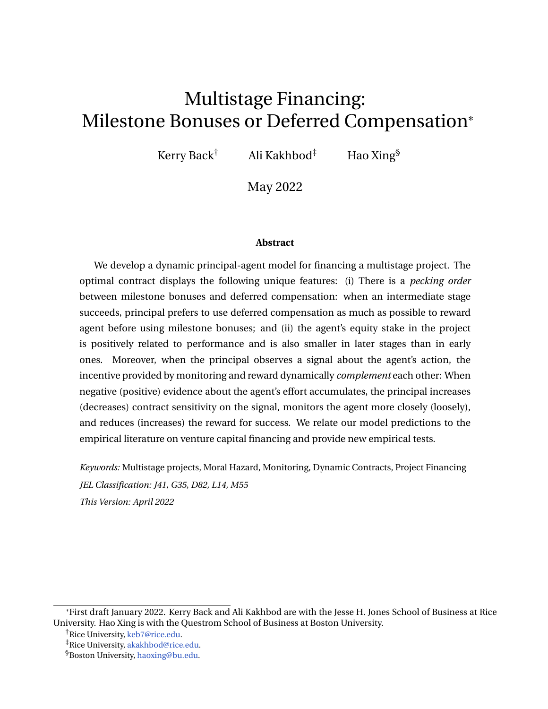Due to the high uncertainty of the project, completion of each stage arrives randomly (if ever) and requires the agent's continuous effort. We model the completion time of different stages as the jump time of an inhomogeneous Poisson process whose intensity is determined by the agent's effort. If the agent exerts effort  $a_t$  at time *t*, the current stage completes with probability *atdt* in the next infinitesimal *dt* time, or the project continues into the next period with probability 1 *atdt*. [1](#page-7-0) Therefore, more effort increases the completion probability so that the current stage potentially finishes earlier.

Whether the project succeeds in each stage also depends on the agent's effort. If stage *i* is completed between time *t* and  $t + dt$  and the agent exerts effort  $a_t$  during this period, then stage *i* has a probability  $p^{(i)}(a_t)$  of succeeding and, equivalently, a probability 1  $-p$ (*i*) (*at*) of failing. We assume that

$$
p^{(i)}(a) = p^{(i)} \frac{a}{\bar{a}}, \quad a \, \geq [0, \bar{a}],
$$

where *ā* is the maximum effort by the agent and  $p^{(i)}\,\mathcal{2}\ (0,1)$  is the probability of success in stage *i* if the agent exerts his maximum effort.<sup>[2](#page-7-1)</sup>

In sum, if the project is in stage *i* and the agent exerts effort  $a_t$  between time *t* and  $t + dt$ , this stage succeeds with probability  $a_t p^{(i)}(a_t)$  *dt* or fails with probability  $a_t$  1  $p^{(i)}(a_t)$  *dt* in the current period, or it continues into the next period with probability 1 *atdt*. We assume that project success or failure is publicly observable.

The principal recommends that the agent exert his maximum effort  $\bar{a}$ . However, the principal cannot continuously monitor the agent's effort, creating moral hazard in the project. If the agent shirks his effort by choosing a lower effort  $a \n\geq [0, \bar{a}]$ , he enjoys a private benefit of *l*(*a*¯ *a*) per unit of time. The positive constant *l* measures the magnitude of moral hazard in the project. The higher the *l*, the more difficult it is for the principal to incentivize the agent to exert his maximum effort. In our baseline model, we assume that the principal receives no information regarding the agent's effort. In an extension, we consider the case where the principal observes a signal about the agent's effort.

### **1.2 Contracting problem**

During the project, the agent receives from the principal compensation whose cumulative value is described by a nondecreasing process *C*. The agent is protected by limited liability: The transfer *dC* from the principal to the agent can only be nonnegative at any time; hence, the agent cannot subsidize the project by accepting negative payment.

<span id="page-7-0"></span><sup>&</sup>lt;sup>1</sup>We assume that the likelihood of completion in each stage is the same if the agent exerts the same effort. The model can be easily extended to incorporate heterogenous impacts on the completion likelihood in different stages.

<span id="page-7-1"></span> $^2$ Our result also holds for any increasing function  $p^{(i)}$  such that  $ap^{(i)}(a)$  is convex in *a*.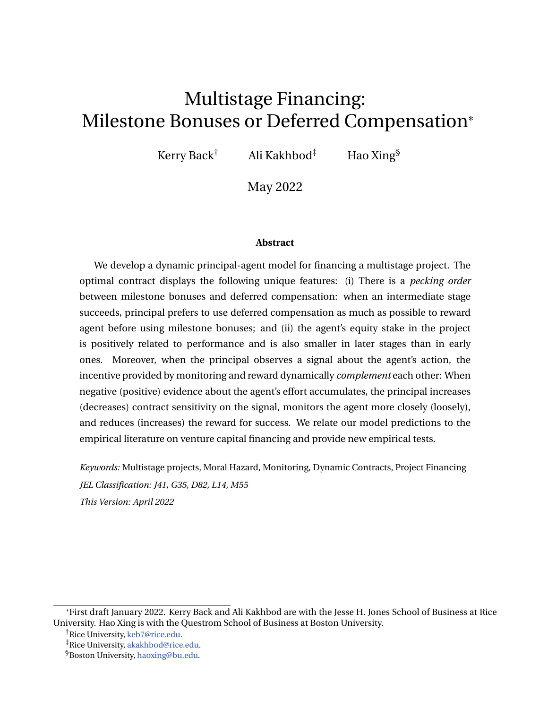When stage *i* is successfully completed, the principal could reward the agent a cash bonus, which we call a *milestone bonus*. When stage *i* succeeds at time *n*, we denote the value of the milestone bonus as  $R_n^{(i)}$ . When stage *i* succeeds, the agent receives a new contract, which promises him a continuation utility, summarizing the value of future deferred compensation at the beginning of the next stage. This deferred compensation includes all future milestone bonuses if the project succeeds at each stage, the compensation flows *dC*, and the outside value if the project is terminated prematurely. When the final stage succeeds, the principal can no longer defer compensation and rewards the agent a final milestone bonus from the project payoff. The principal restricts each milestone bonus  $R_n^{(i)}$  to be less than D; otherwise, the net payoff to the principal is negative even if the project succeeds. If any stage fails, the agent receives nothing at the end of that stage. Because project failure is publicly observable, we will see later that no transfer upon stage failure is without loss of generality.

The agent is protected by the limited liability against his outside value *U*, which models the value of the agent's outside opportunity. When the agent's continuation utility reaches his outside value before the project's final completion, the project is terminated, no matter which stage the project is in, to protect the agent's limited liability.<sup>[3](#page-8-0)</sup> This termination happens at an endogenously determined stopping time.

The agent is risk-neutral and has a subjective discounting rate *r*. Given a cumulative compensation *C*, continuation utility  $U^{(i)}$  at the beginning of stage *i*, and milestone bonus  $R^{(i)}$ , the agent chooses his optimal effort to maximize his expected compensation and private benefit from shirking. The agent's value at project initiation (the beginning of the first stage) is

<span id="page-8-2"></span>
$$
\sup_{a \geq [0,\tilde{a}]} \mathsf{E}^{a} \bigg|_{0}^{hZ} t^{\wedge n^{(1)}} e^{-rs} dC_{s} + I(\tilde{a} \quad a_{s}) ds + I_{fn^{(1)}} t g^{e} \bigg|_{r^{(1)}}^{r^{(1)}} U_{n^{(1)}}^{c} + I_{fn^{(1)} > t g} e^{-rt} \underline{U} \bigg|, \quad (1)
$$

where  $n^{(1)}$  is the stage 1 completion time, and  $t$  is the project's endogenous termination time.<sup>[4](#page-8-1)</sup> Before  $t \wedge n^{(1)} = \min ft, n^{(1)}g$ , the agent receives compensation *dC* and the shirking benefit. If stage 1 is completed before project termination, i.e.,  $n^{(1)}\quad \ \ t$  , the agent receives the continuation utility  $U_{n(1)}^{(2)}$ <sup>(2)</sup><sub>*n*<sup>(1)</sup></sub> to start stage 2 and a milestone bonus  $R_{n^{(1)}}^{(1)}$  $\binom{11}{n(1)}$  upon stage 1's success, which happens with probability  $p^{(1)}(a_n)$ . Therefore,

$$
U_{n^{(1)}}^c = p^{(1)}(a_n) U_{n^{(1)}}^{(2)} + R_{n^{(1)}}^{(1)}
$$

<span id="page-8-0"></span><sup>&</sup>lt;sup>3</sup>We will show in the proof of Lemma [2](#page-19-0) that this is also the agent's optimal time to quit the project if he has the discretion to choose his time to quit any time before his limited liability constraint is binding.

<span id="page-8-1"></span><sup>4</sup> **I***<sup>A</sup>* is an indicator function that equals 1 when *A* happens and 0 otherwise.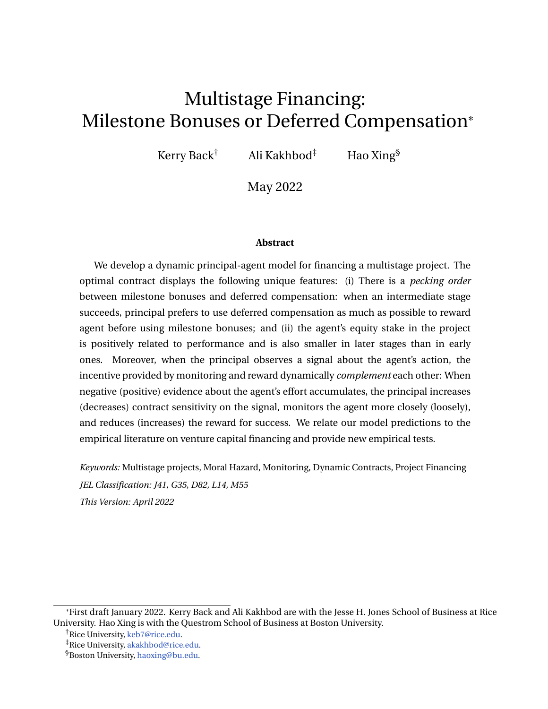is the expected continuation value upon stage 1 completion. $^5$  $^5$  When  $n^{(1)} > t$ , the project is terminated before its completion and the agent receives his outside value *U* at *t*.

We assume that the principal has the commitment power to issue a long-term contract for the agent. A contract is a triplet  $(C, U^{(i)}, R^{(i)}; 1 \quad i \quad N)$ , where *C* is nondecreasing and  $U^{(i)}$  and  $R^{(i)}$  are nonnegative processes. The principal considers the class of contracts that will incentivize the agent to exert his maximum effort  $\bar{a}$ . The principal is assumed to be riskneutral with a subjective discounting rate *r*.

The principal's contracting problem is

<span id="page-9-1"></span>
$$
\sup_{U^{(i)}, R^{(i)}, C} E^{\bar{a}} \overset{hZ_{t \wedge n^{(1)}}}{\circ} e^{rs} \qquad dC_s + I_{\bar{r}n^{(1)}} \quad t g^{\bar{e}} \overset{rn^{(1)}}{\circ} V_{n^{(1)}}^c + I_{\bar{r}t < n^{(1)}} g^{\bar{e}} \overset{rtL}{\circ} \overset{i}{L}, \tag{2}
$$

subject to (i) the incentive compatible constraint that  $\bar{a}$  is the agent's optimal effort for the problem [\(1\)](#page-8-2) and (ii) the agent's participation constraint that the agent's value at time 0 is at least *U*. In [\(2\)](#page-9-1), if stage 1 is completed before project termination, the principal's expected value at stage 1 completion is

<span id="page-9-4"></span>
$$
V_{n^{(1)}}^c = p^{(1)} V_{n^{(1)}}^{(2)} R_{n^{(1)}}^{(1)} \t\t(3)
$$

where  $V_{n(1)}^{(2)}$ *n*<sup>(1)</sup>  $\mathbf{r}$  **1**  $\mathbf{r}$  **1**  $\mathbf{r}$  **1**  $\mathbf{r}$  **1**  $\mathbf{r}$  **1**  $\mathbf{r}$  **1**  $\mathbf{r}$  **1**  $\mathbf{r}$  $\chi^{(2)}_{(1)}$  is the principal's value at the beginning of stage 2. Therefore,  $V^c_{n^{(1)}}$  is the expected continuation value net of the milestone bonus  $R_{\rm eff}^{(1)}$  $(n)$  .<sup>[6](#page-9-2)</sup> If the project is terminated before stage 1 completion, the principal only receives a scrap value *L* from the project and does not pay the agent at the termination.

The principal's value in [\(2\)](#page-9-1) is recursively defined, with the stage *i* value defined similarly to [\(2\)](#page-9-1) and the final stage value as follows:

<span id="page-9-3"></span>
$$
V_t^{(N)} = \sup_{R^{(N)}, C} E_t^{\frac{1}{\theta}} \int_t^{R^{(N)}} e^{-r(s-t)} \, dC_s + I_{f_0(N)} t_g e^{-r(n^{(N)}-t)} p^{(N)} D \, R_{n^{(N)}}^{(N)} + I_{f_0(n)} e^{-r(t-t)} L^{\frac{1}{\theta}}.
$$
\n(4)

In (4),  $t \qquad n^{(N-1)}$  and  $E_t^{\tilde{a}}[$   $] = E^{\tilde{a}}[$   $/ F_t^P]$  is the conditional expectation with respect to the

<span id="page-9-0"></span><sup>&</sup>lt;sup>5</sup>To simplify notation, we assume that the agent receives nothing upon project failure. If the agent receives his outside value <u>U,</u> the principal would adjust the continuation utility  $U^{(2)}$  and milestone bonus  $R^{(1)}$ accordingly to achieve the same expected continuation value at the completion of the stage 1.

<span id="page-9-2"></span> $^6$ In addition to milestone bonuses at stage success, the principal can also pay the agent a severance package at failure. The principal needs to restrict the severance pay to be less than the success reward in order to incentivize the highest probability of success; see the proof of Lemma [2.](#page-19-0) However, both the agent's and the principal's values depend on the expected reward (from both deferred compensation and milestone bonuses) at stage completion. With severance pay at failure, if it achieves the same expected reward for the agent, it induces the same value to the principal. Therefore, it is without loss of generality to assume that the principal only rewards project success and does not pay upon failure.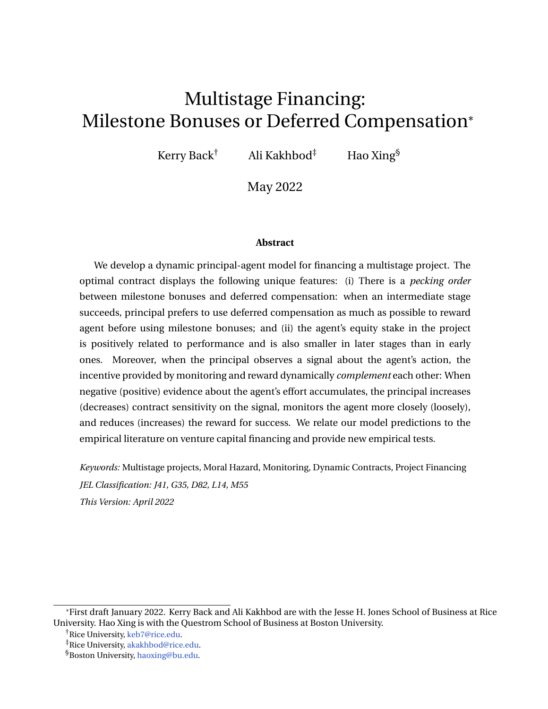principal's information filtration  $fF_t^P g$ , which is generated by the sequence of completion time  $fn^{(i)}$ ; *i* 1g. In [\(4\)](#page-9-3), when the final stage succeeds at time  $n^{(N)}$ , the principal receives the project payoff D net of the final milestone bonus *R* (*N*) *n* (*N*) .

We assume that

 $r < r$ ,

indicating that the principal is more patient than the agent. This technical condition ensures the existence of an optimal contract so that the principal does not defer the compensation forever. The same condition is required by [DeMarzo and Sannikov](#page-38-5) [\(2006\)](#page-38-5).

### <span id="page-10-0"></span>**2 Optimal contract in a baseline model**

#### **2.1 The agent's problem**

Given a contract  $(C, U^{(i)}, R^{(i)}; 1 \quad i \quad N)$ , we first solve the agent's problem [\(1\)](#page-8-2) in this section. When the agent exerts high effort, he loses the shirking benefit. When the current stage is completed, the agent loses his current continuation utility, which would continue if he were to prolong the project, but he would receive a reward from the next contract as well as a milestone bonus if the current stage succeeds. Only when the expected reward is large enough will the agent exert his maximum effort.

Suppose that the project is in stage *i*. Conditioning on no completion before *t*, i.e., *t* 2  $(n^{(i-1)}, n^{(i)}]$ , the agent's continuation utility at time *t* is defined as

<span id="page-10-1"></span>
$$
U_{t} = \sup_{a \geq [0,\bar{a}]} \mathsf{E}_{t}^{\bar{a}} e^{r(s-t)} dC_{s} + I(\bar{a} \ a_{s})ds + I_{\bar{m}^{(i)}} t_{g} e^{r(n^{(i)}-t)} U_{\bar{n}^{(i)}}^{c} + I_{\bar{r}t < n^{(i)}} g e^{r(t-t)} U_{\bar{n}^{(i)}}^{i}
$$
\n(5)

where  $U_{n}^{c} = p^{(i)}(a_{n^{(i)}}) U_{n^{(i)}}^{(i+1)}$  $n^{(i+1)}$  +  $R^{(i)}_{n^{(i)}}$  $\hat{h}^{(i)}_{n^{(i)}}$  is the expected continuation value at stage completion time  $n^{(i)}$ . In [\(5\)](#page-10-1), the conditional expectation is with respect to the agent's filtration, which is generated by  $f n^{(i)}$ , *a*; *i*  $\quad$  1*g* as well as the event  $f n^{(i)}$ *tg*.

The following result characterizes the dynamics of the agent's continuation utility and the optimal effort.

<span id="page-10-2"></span>**Lemma 1.** *The agent's continuation utility U follows the dynamics*

$$
dU_t = rU_t dt + \inf_{a_t \geq [0,\bar{a}]} a_t U_t \quad I (\bar{a} \quad a_t) \quad a_t U_t^c dt \quad dC_t,
$$
 (6)

*where*  $U_t^c = p^{(i)} \ U_t^{(i+1)} + R_t^{(i)}$  $t_t^{(i)}$  for  $t \geq [n^{(i-1)}, n^{(i)})$ , and  $U^{(N+1)}$  0*. The agent's optimal effort*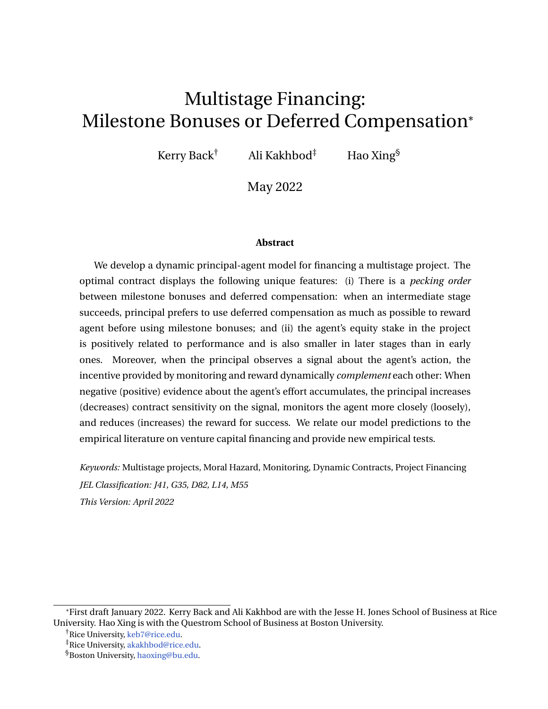*is given by*

$$
a_{t} = \begin{cases} \n\bar{a}, & p^{(i)} \cup_{t}^{(i+1)} + R_{t}^{(i)} & l + U_{t}, \\
0, & otherwise. \n\end{cases}
$$
\n(7)

*When*  $U_t^c$  *l* +  $U_t$ , *U follows* 

<span id="page-11-0"></span>
$$
dU_t = (r + \bar{a})U_t \quad \bar{a}_t U_t^c \ dt \quad dC_t. \tag{8}
$$

Lemma [1](#page-10-2) shows that the agent's optimal effort is determined by three forces:

- (i) If the agent exerts effort *a*, he earns private benefit *l* ( $\bar{a}$   $a_t$ ) *dt* from shirking.
- (ii) The agent's effort also changes the likelihood of stage completion. If the agent exerts effort *a*, the current stage completes with probability *adt* in the next infinitesimal period of time. Therefore, the agent's expected reward from completion is *adt*  $U_t^c$ .
- (iii) Once the current stage is completed, the agent also forfeits the current continuation utility  $U_t$ ; hence, the agent's expected loss from stage completion is *adt* $U_t$ .

To incentivize the agent's maximum effort, the principal needs to ensure that the marginal benefit of effort  $U_t^c$  is larger than the marginal cost  $l + U_t$ .

#### **2.2 Baseline model**

In this section, we consider a baseline model in which the principal only observes the completion time of the various stages of the project and uses deferred compensation and milestone bonuses to incentivize effort. After building intuition from a single-stage project, we examine the optimal contract in a two-stage project.

#### <span id="page-11-2"></span>**2.2.1 Single-stage project**

We consider a single-stage project in this section. To simplify notation, we suppress the superscript (1) throughout this section. We assume that project termination is inefficient,

<span id="page-11-1"></span>
$$
(r + \bar{a})L + (r + \bar{a})\underline{U} < \bar{a}pD. \tag{9}
$$

This condition is equivalent to  $L < \frac{1}{r+\tilde{a}}$   $\bar{a}pD$   $(r + \tilde{a})\underline{U}$  . This means that the project's liquidation value *L* is less than the net present value of the project's expected payoff, net paying the agent a constant cash flow of  $(r + \bar{a})U$ , which has a present value of *U* under the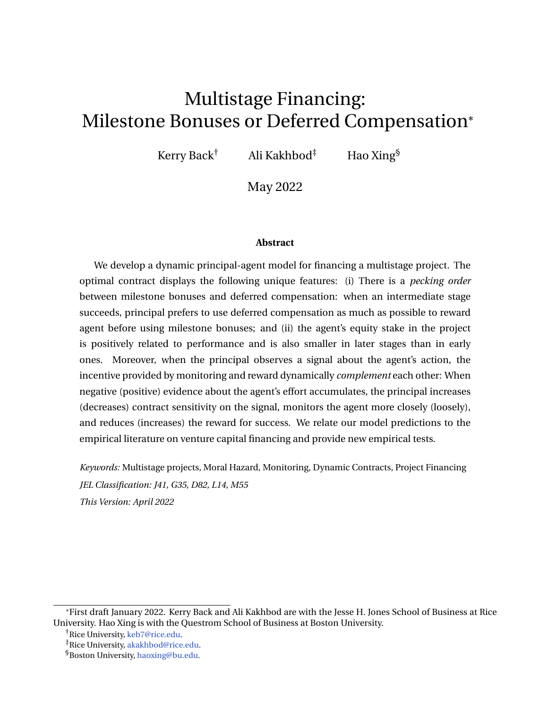agent's effective discount rate  $r + \bar{a}$ . We also assume

<span id="page-12-2"></span>
$$
\underline{U} < \frac{\bar{a}l}{r} \tag{10}
$$

so that the agent's outside option is not better than shirking on the project.

Lemma [1](#page-10-2) implies that the expected reward must satisfy the following to incentivize the agent to exert his maximum effort:

<span id="page-12-0"></span>
$$
pR_t \t l + U_t. \t (11)
$$

Thus, the marginal expected reward from completion is weakly larger than the marginal gain of shirking and delay, in order to incentivize the agent to exert his maximum effort. The principal's value function in [\(4\)](#page-9-3), conditioning on no project completion before *t*, i.e., *n t*, is

<span id="page-12-4"></span>
$$
V_t = \sup_{R,C} E_t^{\frac{h}{d}} \frac{t^{n} \wedge n}{t} e^{-r(s-t)} \qquad dC_s + I_{fn} \quad t g e^{-r(n-t)} p \quad D \qquad R_n + I_{ft < n g} e^{-r(t-t)} L^{\frac{1}{n}}.
$$
 (12)

where  $R$  is subject to the constraint  $(11)$ .

We now derive the differential equation that *V* satisfies. Consider the compensation  $dC_t = c_t dt$  for some nonnegative and potentially unbounded  $c_t$ . It follows from the dynamic programming that *V* satisfies the following Hamilton-Jacobi-Bellman (HJB) equation:

<span id="page-12-1"></span>
$$
(r + \bar{a})V = \sup_{R,c} \left[ \bar{a}p(D \quad R) + (r + \bar{a})U \quad \bar{a}pR \quad V^{\ell} \quad (1 + V^{\ell})c \right], \tag{13}
$$

where  $pR$   $l + U$  and  $R$  D. When  $U$  reaches the agent's outside value  $U$ , the project is terminated and the principal receives *L*. Therefore, *V* satisfies the boundary condition

<span id="page-12-3"></span>
$$
V(\underline{U}) = L. \tag{14}
$$

On the left-hand side of [\(13\)](#page-12-1),  $r + \bar{a}$  is the principal's effective discounting rate. On the right-hand side,  $\bar{a}p(D \t R)$  is the expected net payoff in *dt* time, and  $(r + \bar{a})U \t \bar{a}pR \t V^{\ell}$  is the marginal change in the principal's value due to changes in agent's continuation utility before compensation. The term  $(1 + V^{\emptyset})c$  measures the net value of comepsnation and it is linear in *c*. Because *c* can be unbounded, in order for the right-hand side of [\(13\)](#page-12-1) to have a finite value, it is necessary for  $1 + V^{\ell}$  0. Consider  $V^{\ell}$  to be the marginal benefit of paying the agent. Whenever  $1 > V^{\ell}$ , the marginal cost of paying the agent is larger than the marginal benefit, and the principal defers the payment by choosing  $c = 0$  until  $V^{\emptyset} = -1$ . Define

<span id="page-12-5"></span>
$$
\overline{U} = \inf fU \quad \underline{U} : V^{\theta} \quad 1g. \tag{15}
$$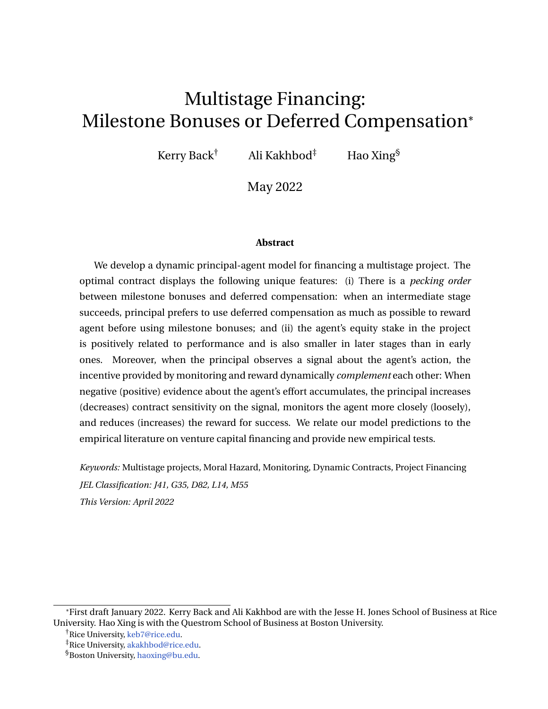To understand the principal's optimal choice for the success reward, we start with the first best case, where the agent's action is contractible and  $L = L^{fb} := \frac{1}{r + \tilde{a}} \bar{a}pD$   $(r + \tilde{a})\underline{U}$ . In that case, a linear value function *V* with  $V(\underline{U}) = L$  and  $V^{\emptyset}$  1 corresponds to the first best value. If the principal rewards the agent with bonus *R* upon project success, the principal's expected payoff decreases by  $\bar{a}$  *pRdt*. Meanwhile, [\(8\)](#page-11-0) with  $U^c = pR$  therein implies that the agent's continuation utility decreases by  $\bar{a}$ *pRdt*, which impacts the principal's utility by  $\bar{a}$  pRV<sup>0</sup>dt. Because *V* <sup>0</sup> 1, the principal's net value change is zero for any *R*. Therefore, the choice of *R* is irrelevant to the principal in the first best case. The agent is compensated only by *C* in this case.

When *L* < *L*<sup>fb</sup>, termination is inefficient and the principal's choice of *R* matters. The optimization of *R* in [\(13\)](#page-12-1) is

$$
\sup_R \bar{a} \qquad pR \qquad pRV^0,
$$

subject to  $pR$   $l + U$ . When the project is completed,  $pR$  is the expected cost and  $pRV^{\theta}$  is the expected benefit of paying the agent milestone bonus *R*. Because 1  $>$   $\quad$  V $^{\emptyset}$  when  $U<\overline{U},$ the expected cost always dominates the expected benefit. Therefore, the principal rewards the agent the minimum amount to satisfy the incentive compatibility constraint, i.e., the optimal milestone bonus satisfies

<span id="page-13-0"></span>
$$
pR = l + U. \tag{16}
$$

The following proposition summarizes the optimal contract and the agent's continuation utility dynamics under the optimal contract.

<span id="page-13-1"></span>**Proposition 1.** *Suppose that* [\(9\)](#page-11-1) *and* [\(10\)](#page-12-2) *hold. The principal chooses the initial value of the agent's continuation utility U*<sup>0</sup> *to maximize her value function V. The agent's continuation utility decreases over time until it reaches the outside value U, at which time the contract is terminated if the project is still not completed. If the project is successfully completed before U reaches* <u>U</u>, the agent is rewarded with milestone bonus R  $= \frac{1}{p}(l + U)$ . The principal pays no *cash compensation C in the process.*

The optimal contract features a milestone bonus, no cash compensation, and a hard deadline. As the agent's continuation utility decreases over time, the size of the milestone bonus also decreases with time. Because the marginal benefit of cash compensation is always less than the marginal cost, the principal never pays the agent cash compensation. Combining [\(8\)](#page-11-0), [\(16\)](#page-13-0), and  $dC_t$  0, we find that the termination time t of the project is a constant:

$$
t = \frac{1}{r} \log \frac{\partial l}{\partial l} \frac{rU_0}{r\underline{U}}.
$$
 (17)

This is a hard deadline for the project. It is decreasing in  $\bar{a}$ , *l*, *<u>U</u>* and increasing in  $U_0$ . When  $\bar{a}$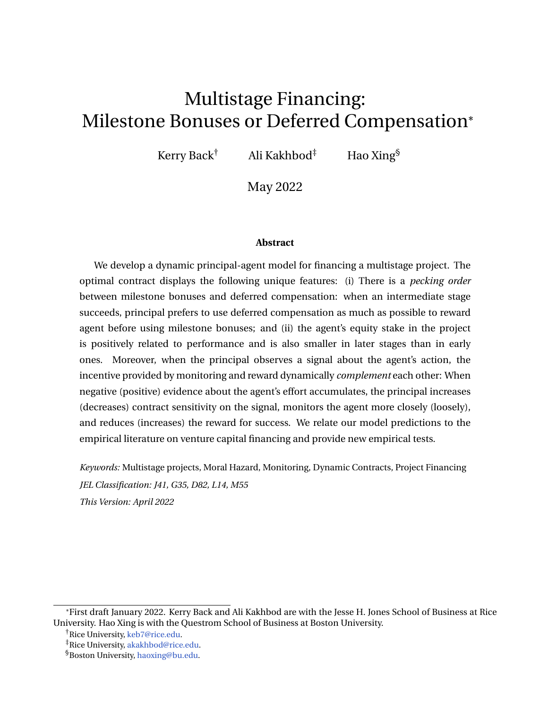increases, the expected completion time  $1/\bar{a}$  decreases; when *l* is larger, the agency friction is more severe; when  $U_0$  decreases or  $U$  increases, the agent has less skin in the project. In all cases, the principal shortens the hard deadline.

To illustrate the quantitative implications of the model, we solve the HJB equation [\(13\)](#page-12-1) with its boundary condition [\(14\)](#page-12-3) numerically and present several examples of the principal's value in Figure [1.](#page-14-0)

<span id="page-14-0"></span>

Figure 1. **Optimal contract in a single-stage project**

*Notes: This figure plots the principal's value for different maximal effort, private benefits, and project payoffs. Each curve ends at*  $\overline{U}$ *. If not listed explicitly in the legend, parameters used are*  $r = 0.1$ ,  $r = 0.05$ ,  $\overline{a} = 0.5$ ,  $l = 1$ ,  $D = 8$ *, p* = 0.5*,* <u>*U*</u> = 0*, and L* = 0*.* 

At the project inception, the agent's continuation utility starts from  $U_0 = \text{argmax}V(U)$ . In our contract implementation,  $U_0$  *U* measures the maximum balance of a credit line that the principal grants the agent. When the credit line is maxxed out, the project is terminated. Figure [1,](#page-14-0) Panel (a) shows that the larger the agent's maximum effort  $\bar{a}$  is, the longer the credit line is. When  $\tilde{a}$  is larger, the project is more likely to be completed; consequently, the principal grants the agent more financial flexibility to allow the agent to be successful. When the agent's private benefit of shirking is larger, the principal needs to offer a bigger milestone bonus to incentivize the agent. Hence, the principal's value function decreases with *l*, as Panel (b) shows. The principal also offers a longer credit line for larger *l*. When the project payoff D is larger, Panel (c) shows that the principal offers a longer credit line to increase the chances of project success before termination.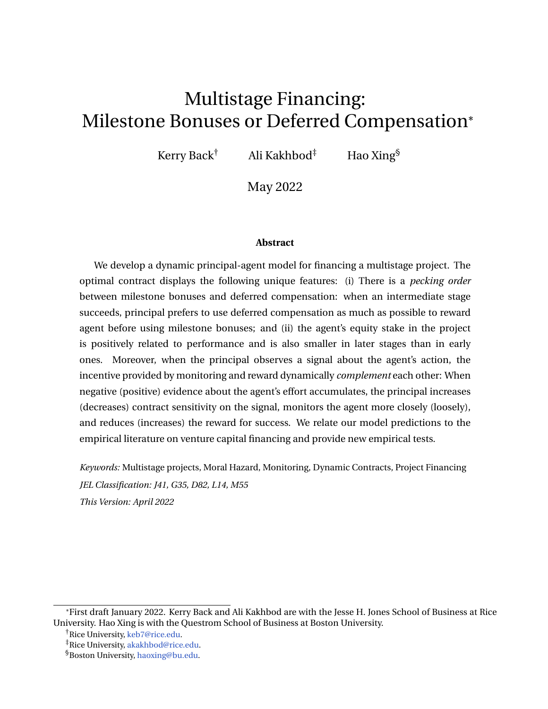#### **2.2.2 Multiple-stage project**

In this section, we study a two-stage project  $(N = 2)$ . The first stage has to be completed successfully before the second stage begins. The principal only receives the project payoff when the second stage succeeds. However, the principal can terminate the project if the first stage fails. When the first stage is successfully completed, the principal determines how much deferred compensation to promise the agent in the second stage, in the form of a second-stage milestone bonus and cash compensation *C*, and whether to reward the agent a first-stage milestone bonus for successfully completing the first stage.

After successful completion of the first stage, the second stage contracting problem is the same as the one described in Section [2.2.1.](#page-11-2) We focus on the first-stage problem in what follows. When the first stage is completed at time  $n^{(1)}$ , the agent receives a new contract that promises him, at the beginning of the second stage, a continuation utility  $U_{\rm eff}^{(2)}$  $\sum_{n^{(1)}}^{\infty}$ , summarizing the value of deferred compensation in the second stage. Moreover, the principal could also reward the agent a milestone bonus  $R_{\rm eff}^{(1)}$ *n* (1) .

Lemma [1](#page-10-2) shows that the agent exerts effort  $\bar{a}$  if and only if

<span id="page-15-0"></span>
$$
p^{(1)} U_t^{(2)} + R_t^{(1)} I + U_t.
$$
 (18)

Equation [\(2\)](#page-9-1) shows that the principal's value in the first stage is

<span id="page-15-1"></span>
$$
V_t^{(1)} = \sup_{U^{(2)}, R^{(1)}, C} E_t^{\frac{1}{\tilde{a}}} t^{h Z_{n^{(1)} \wedge t}} e^{-r(s-t)} (dC_s) + I_{fn^{(1)} \t t g} e^{-r(n^{(1)}-t)} V_{n^{(1)}}^c + I_{ft \lt n^{(1)} g} e^{-r(t-t)} L^{\frac{1}{\tilde{a}}}.
$$
\n(19)

subject to [\(18\)](#page-15-0),  $R^{(1)} \supseteq [0, D]$ , and  $U^{(2)} \supseteq [\underline{U}, \overline{U}^{(2)}]$ . In [\(19\)](#page-15-1),  $V_{n^1}^c$  is given in [\(3\)](#page-9-4), the milestone *n* bonus  $\mathcal{R}^{(1)}$  is restricted to be at most the project payoff D, and the second-stage initial utility  $U^{(2)}$  is at most the second-stage maximum utility  $\overline{U}^{(2)}$ .

An argument similar to that in Section [2.2.1](#page-11-2) yields the following HJB equation for  $\mathsf{V}^{(1)}$ :

<span id="page-15-2"></span>
$$
(r + \bar{a})V^{(1)} = \max_{U^{(2)}, R^{(1)}} \bar{a}p^{(1)} V^{(2)}(U^{(2)}) R^{(1)} + (r + \bar{a})U \bar{a}p^{(1)} U^{(2)} + R^{(1)} (V^{(1)})^0,
$$
\n(20)

subject to [\(18\)](#page-15-0),  $R^{(1)}$   $\supseteq$  [0, D], and  $U^{(2)}$   $\supseteq$  [<u>U</u>,  $\overline{U}^{(2)}$ ], and the boundary conditions

$$
V^{(1)}(\underline{U}) = L \quad \text{and} \quad (V^{(1)})^{\circ}(\overline{U}^{(1)}) = 1, \tag{21}
$$

for some  $\overline{U}^{(1)}.$ 

We first discuss the choice of  $U^{(2)}$  and  $R^{(1)}$  at the successful completion of the first stage.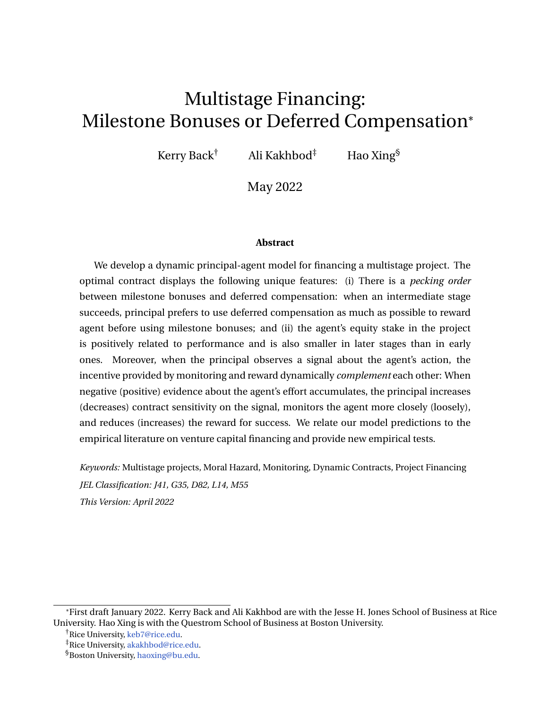The first-order condition of  $U^{(2)}$  in [\(20\)](#page-15-2) is

<span id="page-16-0"></span>
$$
\bar{a}p^{(1)} \left(V^{(2)}\right)^{j} \left(U^{(2)}\right) \left(V^{(1)}\right)^{j} \left(U\right) = 0, \tag{22}
$$

and the first-order condition of  $R^{(1)}$  is

<span id="page-16-1"></span>
$$
\bar{a}p^{(1)} \ 1 + (V^{(1)})^{\ell}(U) \ = 0. \tag{23}
$$

Because  $(V^{(2)})^{\ell}$  > 1 when  $U^c$  <  $\overline{U}^{(2)}$ , [\(22\)](#page-16-0) and [\(23\)](#page-16-1) cannot be satisfied simultaneously: When  $U^{(2)}$  is an interior, the optimal  $R^{(1)}$  must be zero;  $R^{(1)}$  is positive only when  $U^{(2)}$  reaches its maximum value  $\overline{U}^{(2)}.$ 

This result creates a pecking order for the principal to reward the agent for first-stage success. The principal prefers to increase the agent's deferred compensation in the second stage over paying the agent a milestone bonus. This preference is because the principal's marginal benefit of cash bonus  $(V^{(2)})^{\ell}(U^{(2)})$  is less than the unit marginal cost when  $U^{(2)}$  <  $\overline{U}^{(2)}$ . Only when  $U^{(2)}$  reaches  $\overline{U}^{(2)}$  does the principal combine the second-stage deferred compensation with a milestone bonus at the end of the first stage.

The following proposition summarizes the optimal deferral compensation and milestone bonus for a two-stage project.

<span id="page-16-2"></span>**Proposition 2.** *Suppose that* [\(9\)](#page-11-1) *and* [\(10\)](#page-12-2) *hold. Then the following statements hold:*

- (*i*) *The principal pays milestone bonus*  $R^{(1)} = \frac{1}{p^{(1)}}(I + U)$   $\overline{U}^{(2)}$  *only when*  $U$   $p^{(1)}\overline{U}^{(2)}$ *l.*
- *(ii) When the first stage is successfully completed, the agent's continuation utility jumps up to*  $U^{(2)}$  *with*  $U^{(2)}$   $\overline{U}^{(2)}$ *, and he receives milestone bonus*  $R^{(1)}$  *when*  $U^{(2)} = \overline{U}^{(2)}$ *.*
- (*iii*)  $V^{(1)}(U) < V^{(2)}(U)$  for  $\underline{U} < U$  min  $\overline{U}^{(1)}$ ,  $\overline{U}^{(2)}$  . Therefore, the agent's equity stake *U*  $\frac{U}{U+V^{(1)}(U)}$  in the first stage is always larger than his equity stake  $\frac{U}{U+V^{(2)}(U)}$  in the second *stage.*

This result shows that the milestone bonus strategy is a threshold type. Only when *U* is sufficiently large and  $U^{(2)}$  reaches its maximum value does the principal reward the agent with a milestone bonus. Given the agent's continuation utility *U* and the principal's value  $V(U)$ , we define the agent's equity stake as the ratio between the agent's continuation utility from deferred compensation and the project's enterprise value  $U + V(U)$ . Proposition [2](#page-16-2) (iii) shows that the agent's equity stake is always larger in the first stage. The intuition behind this result is the following: The project may fail at the end of the first stage, in which case the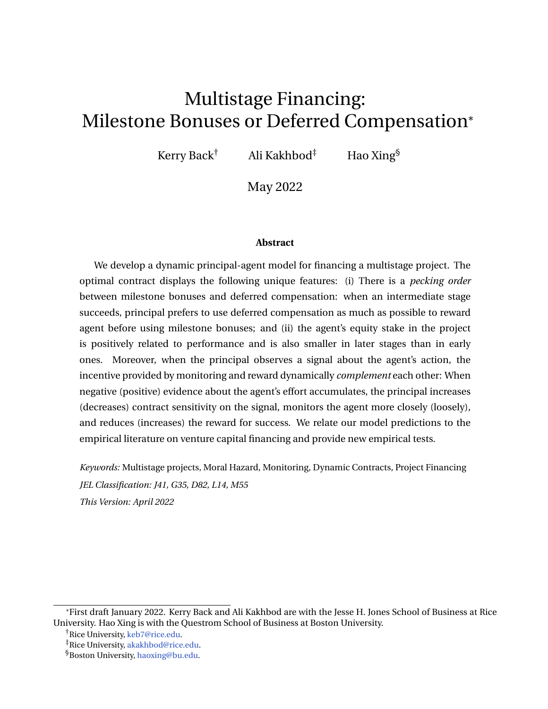project payoff is zero. Moreover, the second-stage enterprise value is the discounted future project payoff net compensation such that the expected payoff from the first stage is less than the expected payoff from the second stage, i.e.,

$$
p^{(1)} V^{(2)}(U^{(2)}) + U^{(2)} < p^{(2)}D.
$$

With less expected payoff, the principal's value in the first stage  $\mathsf{V}^{(1)}(\mathsf{U})$  is less than her value in the second stage  $V^{(2)}(U)$ , when the agent has the same amount of skin *U* in the project. Therefore, the principal shares a larger proportion of the project's enterprise value in the second stage, resulting in a smaller equity stake for the agent.

The result that the agent's equity stake is smaller in later stages is consistent with evidence from empirical studies. [Bengtsson and Sensoy](#page-37-0) [\(2015\)](#page-37-0) observe that entrepreneurs' equity stakes in startups are lower in later funding rounds. [Ewens, Nanda, and Stanton](#page-38-1) [\(2020\)](#page-38-1) document that an entrepreneur's equity stake decreases with the firm's age. An explanation for this phenomenon is that additional funding injections in later financing rounds dilute the entrepreneur's equity stake. Our result shows that even without additional funding injections, resolution of uncertainty at the end of each stage increases the project value, thereby decreasing the entrepreneur's equity stake.

Figure [2](#page-18-1) shows that the principal's value is larger in the second stage (Panel (a)) and the agent's equity stake is higher in the first stage (Panel (b)). At the beginning of the first stage,  $(U_0, V^{(1)}(U_0))$  starts from the highest point of the red dotted line in Panel (a), then moves to the left along the red dotted line. If the first stage is successful before *U* becomes lower than 0.5, which is the horizontal coordinate of the kink point in Panel (c),  $(U, V^{(1)}(U))$  jumps to the right end of the black solid line  $(\overline{U}^{(2)},V^{(2)}(\overline{U}^{(2)}))$  in Panel (a) to start the second stage, and the agent receives a milestone bonus whose value is shown by the red dotted line in Panel (d). If the first stage is successful when  $U < 0.5$ ,  $(U, V^{(1)}(U))$  jumps to  $(U^{(2)}, V^{(2)}(U^{(2)}))$ , with  $U^2 = U^2(U)$  given in Panel (c), on the black solid line in Panel (a) and the second stage starts from there, but the agent receives no milestone bonus. If the first stage fails, the project is terminated. In the second stage,  $(U, V^{(2)}(U))$  moves to the left along the black solid line in Panel (a). In both stages, if *U* reaches zero before stage completion, the project is terminated. The principal grants a credit line with limit  $U_0$  in the first stage and extends the credit line to the limit  $U^{(2)}$  in the second stage. The principal gives a much longer credit line in the second stage to allow ample time for the agent to complete the final stage. When the final stage succeeds, the agent receives the final milestone bonus  $R^{(2)}(\mathit{U})$ , whose value is indicated by the solid black line in Panel (d).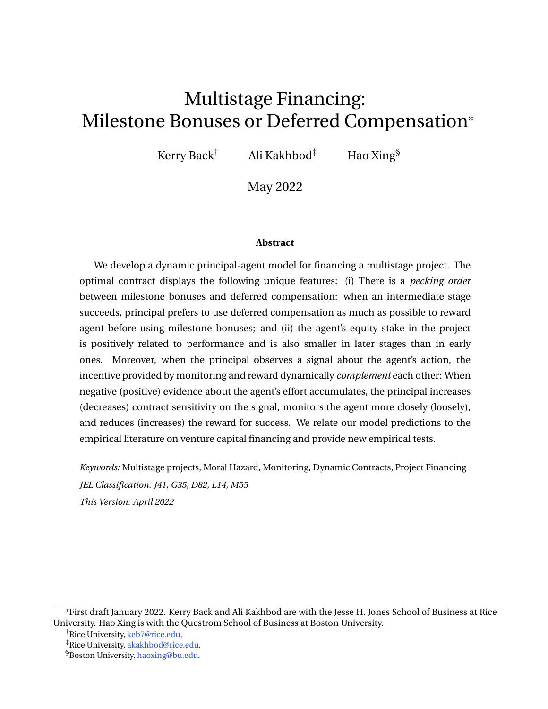<span id="page-18-1"></span>

Figure 2. **Optimal contract in a two-stage project**

*Notes: This figure plots the principal's values, the agent's equity stake, and milestone bonuses in both stages as well as the agent's continuation utility*  $U^{(2)}$  *at the beginning of the second stage. Parameters used are*  $r = 0.1$ *,*  $r = 0.05$ *,*  $\bar{a} = 0.5$ *,*  $l = 1$ *,*  $D = 16$ *,*  $p^{(1)} = p^{(2)} = 0.5$ *,*  $\underline{U} = 0$ *, and*  $L = 0$ *.* 

### <span id="page-18-0"></span>**3 Monitoring and reward**

In the baseline model, we assume that the principal does not receive any information on the agent's effort. In this section, we consider a natural extension in which the principal observes a noisy signal about the agent's effort. This noisy signal can be thought of as the agent's working hours or regularly submitted progress reports. With this additional signal, the principal can both contract on the signal and reward the agent with milestone bonuses or deferred compensation. In the optimal contract, contracting on the signal and reward complement each other. When positive (negative) evidence about the agent's effort accumulates, the optimal contract increases (decreases) the magnitude of the reward and decreases (increases) the contract sensitivity on the signal. After examining a single-stage project in this extension, we explore the optimal contract for a two-stage project. We show that the main insight from the baseline model still holds in this extension.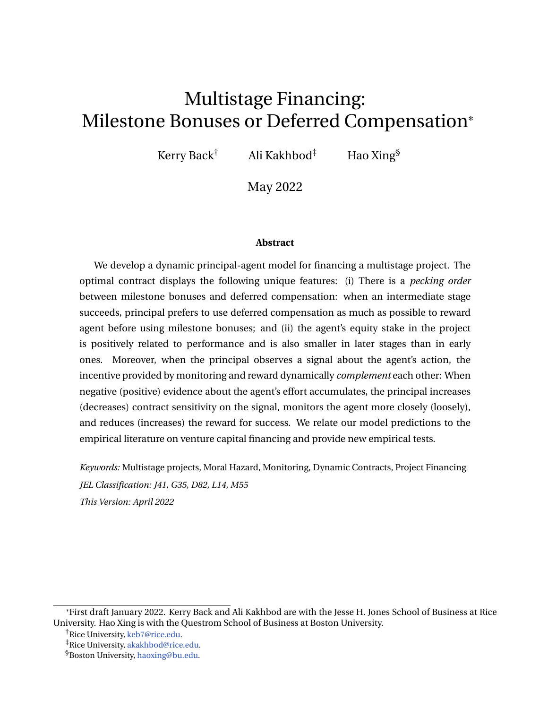We assume that the principal observes a noisy signal *y* about the agent's effort. The dynamics of *y* follow

<span id="page-19-3"></span>
$$
dy_t = a_t dt + s dB_t^a, \qquad (24)
$$

where  $B^a$  is a standard Brownian motion under the probability measure  $P^a$  induced by the agent's effort. We assume that  $B^a$  is independent of the Poisson process driving the completion time of the different stages of the project as well as the random variables indicating the success or failure of each stage. The principal can contract on the signal *y* and can also determine  $(U^{(i)}, R^{(i)})$ ; 1 *i N*) at the completion of each stage as in the previous section.

The following result extends Lemma [1](#page-10-2) to the current setting.

<span id="page-19-0"></span>**Lemma 2.** *The agent's continuation utility U follows the dynamics*

<span id="page-19-1"></span>
$$
dU_t = rU_t dt + \inf_{a_t \geq [0, \bar{a}]} a_t U_t \quad I (\bar{a} \quad a_t) \quad a_t U_t^c \quad j_t a_t \quad dt + j_t dy_t \quad dC_t, \tag{25}
$$

*for some process j . In* [\(25\)](#page-19-1)*,*  $U_t^c = p^{(i)} \ U_t^{(i+1)} + R_t^{(i)}$  $t_t^{(i)}$ , when  $t \geq [n^{(i-1)}, n^{(i)})$ , and  $U^{(N+1)}$  0. *The agent's optimal effort is given by*

$$
a_t = \begin{cases} \n\bar{a}, & U_t^c + j_t & | + U_t, \\
0, & \text{otherwise.}\n\end{cases} \tag{26}
$$

*When*  $U_t^c + j_t$   $l + U_t$ , *U follows* 

<span id="page-19-2"></span>
$$
dU_t = (r + \bar{a})U_t \quad \bar{a}U_t^c dt + j_t s_t dB_t^{\bar{a}} dC_t. \tag{27}
$$

Lemma [2](#page-19-0) shows that the agent's continuation utility varies with signal *y*. The principal chooses the contract sensitivity *j*. To incentivize maximum effort, the principal needs to choose a sufficiently large *j* so that the sum of *j* and the marginal expected reward *U<sup>c</sup>* for completing the current stage dominates the marginal cost  $l + U$ . The contract sensitivity *j* and the expected reward  $U^c$  complement each other to incentivize the agent's maximum effort. The optimal choice of *j* and the continuation utility, together with milestone bonuses  $(U^{(i)}, R^{(i)})$ *i N*), will be determined in the optimal contract.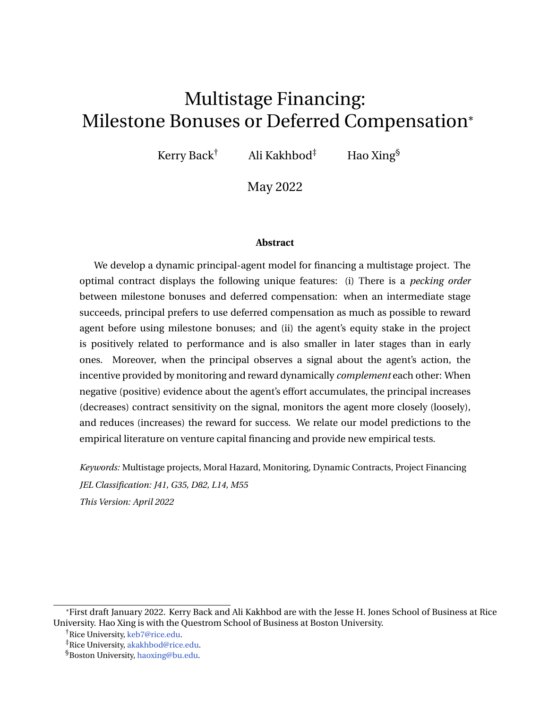#### **3.1 Single-stage project**

Consider the principal's problem  $(12)$  in a single-stage project.<sup>[7](#page-20-0)</sup> Following the strategy in the previous section, we first derive the HJB equation that is satisfied by *V*. Consider  $dC_t = c_t dt$ , where  $c_t$  is nonnegative and could be unbounded. It follows from [\(27\)](#page-19-2) with  $U^c = pR$  therein and the dynamic programming that *V* satisfies the following HJB equation:

<span id="page-20-1"></span>
$$
(r + \bar{a})V = \sup_{R,c,j} \bar{a}p(D \ R) + (r + \bar{a})U \quad \bar{a}pR \ V^{\theta} \ (1 + V^{\theta})c + \frac{1}{2}j^{2}s^{2}V^{\theta^{O}}, \qquad (28)
$$

subject to  $R \nvert 2$  [0, D],  $c$  0, and  $j$   $l + U_t$  pR.

An argument similar to that in Section [2.2.1](#page-11-2) shows that  $\mathsf{V}^\emptyset\,>\,1$  until a threshold  $\overline{U}$  in [\(15\)](#page-12-5). Due to the presence of Brownian noise, the optimal compensation  $dC$  is a reflecting type. Once *U* reaches  $\overline{U}$ , the principal makes a minimum payment to reflect *U* being lower than  $\overline{U}$ . The boundary  $\overline{U}$  is pinned down by the boundary conditions

<span id="page-20-2"></span>
$$
V^{\mathcal{J}}(\overline{U}) = 1 \quad \text{and} \quad V^{\mathcal{J\mathcal{J}}}(\overline{U}) = 0, \tag{29}
$$

where the second boundary condition is a super-contact condition. When  $U = U$ , *V* satisfies the boundary condition

<span id="page-20-3"></span>
$$
V(\underline{U}) = L. \tag{30}
$$

The choice of *C* discussed above reduces the HJB equation [\(28\)](#page-20-1) to

<span id="page-20-5"></span>
$$
(r + \bar{a})V = \sup_{R,j} \bar{a}p(D \ R) + (r + \bar{a})U \quad \bar{a}pR \ V^{\ell} + \frac{1}{2}j^{2}s^{2}V^{\ell\ell} \tag{31}
$$

subject to  $R \nvert 2$  [0, D],  $j \rvert 1 + U \rvert pR$  and boundary conditions [\(29\)](#page-20-2) and [\(30\)](#page-20-3).

The following proposition summarizes the principal's optimal choice in regard to milestone bonuses, contract sensitivity, and compensation.

<span id="page-20-4"></span>**Proposition 3.** *Suppose that* [\(9\)](#page-11-1) *and* [\(10\)](#page-12-2) *hold.*

*(i) The optimal reward is*

<span id="page-20-6"></span>
$$
R = \min \left[ \max_{\mathbf{p}} \frac{1}{p} \mathbf{1} + U + \frac{\bar{a}(1 + V^{\theta})}{s^{2} V^{\theta}} \right], 0 \quad 0 \quad 0 \tag{32}
$$

*The optimal contract sensitivity is*  $j = l + U$  *pR*, *and it is always positive.* 

*(ii) When*  $\cup$  *approaches*  $\overline{U}$ *,*  $R$  *converges to* min $f(I + \overline{U})/p$ ,  $Dg$ *. When*  $R$  *is an interior* 

<span id="page-20-0"></span> $7$ We omit the superscript (1) throughout this section to simplify notation.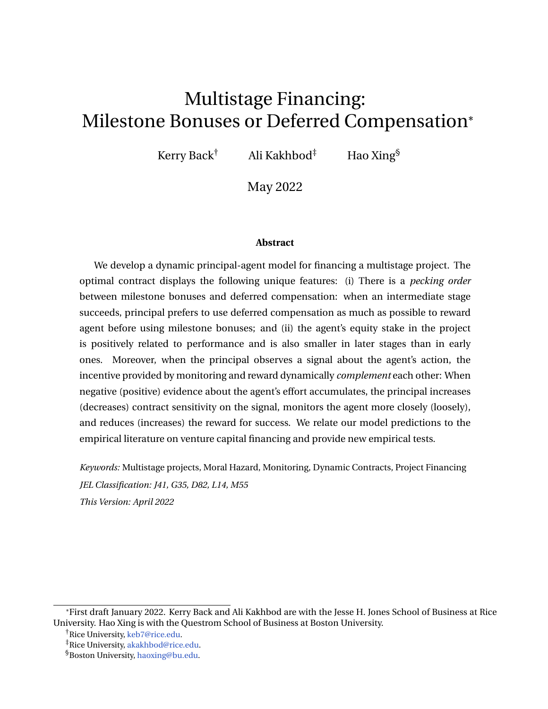*optimal level, the optimal contract sensitivity j converges to zero.*

#### *(iii) The principal's optimal value function V is concave.*

#### *(iv) The optimal compensation C reflects* U *to keep it lower than*  $\overline{U}$  *once* U *reaches*  $\overline{U}$ *.*

Recall from assumption [\(9\)](#page-11-1) that project termination is inefficient. Similar to the baseline case, the principal's choice of *R* matters. The optimal choice *R* is presented in Proposition [3](#page-20-4) (i). To understand the intuition, we start from the concavity of *V* in (iii). The inefficient termination of the project before its completion introduces endogenous risk aversion to the risk-neutral principal; hence, the principal is averse to future variations of  $U$ . Due to  $V^{\emptyset\emptyset} <$ 0, the principal chooses the minimal contract sensitivity  $j = l + U$  pR to incentivize maximum effort  $\bar{a}$  from the agent. Therefore, when we plug  $j = l + U$  pR into the righthand side of [\(31\)](#page-20-5), the terms containing *R* are

<span id="page-21-0"></span>
$$
\max_{R} \qquad \bar{a}pR(1+V^{\prime}) + \frac{1}{2}(I+U-pR)^{2}s^{2}V^{\prime\prime\prime}^{O}.
$$
 (33)

In this optimization problem,  $\partial pR$  is the expected direct cost and  $\partial^2 pRV^{\theta}$  is the expected benefit from paying the reward to the agent; hence,  $\phi$  is the net marginal benefit of the reward. This term is the same as the baseline model. The additional term 1  $\frac{1}{2}(l + U - pR)^2 s^2 V^{\emptyset}$  is the risk aversion cost to the principal arising from exposing the agent's continuation utility to the noisy signal. Therefore, the interior optimal reward is determined by the mean-variance trade-off:

$$
I + U \quad pR = \frac{\tilde{a}(1 + V^{\theta})}{S^2 V^{\theta}}.
$$

When  $U$  is close to the agent's outside value  $U$ , the project is close to an inefficient termination. As our numeric result later shows, *R* is low in this case. To illustrate the intuition, recall the dynamics of the agent's continuation utility *U* from [\(27\)](#page-19-2): The drift of *U* is  $(r + \bar{a})U$  *apR*, and the volatility is  $(l + U pR)$ s. When *U* is close to *U*, a large bonus *R* would induce a negative drift to the agent's continuation utility, which leads *U* closer to *U* and the project nearer to its inefficient termination. To mitigate this termination risk, the principal chooses a small value of *R* when *U* is close to the termination boundary *U* so that a positive drift leads the continuation utility  $U$  away from  $\overline{U}$ .

When *U* is close to the payment boundary  $\overline{U}$ , both terms in [\(33\)](#page-21-0) converge to zero due to the boundary condition [\(29\)](#page-20-2). However, we show in the proof of Proposition [3](#page-20-4) that the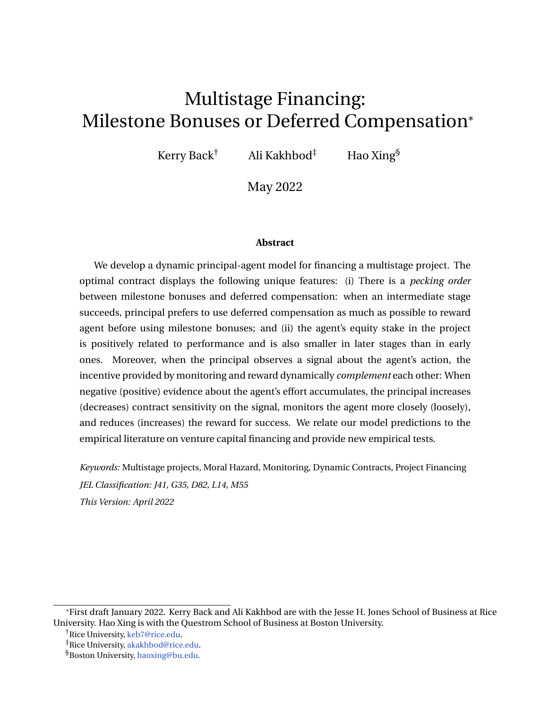variance term dominates in the sense that

$$
\lim_{U/\overline{U}}\frac{1+V^{\theta}}{V^{\theta\theta}}=0.
$$

As a result, the principal chooses  $j = l + \overline{U}$   $pR = 0$  to minimize the variance term. This is achieved by choosing *R* converging to  $(I + \overline{U})/p$  if *R* has not reached its upper bound D. In this case, *U* is sufficiently far away from the termination boundary *U*, and the threat of inefficient termination becomes a secondary consideration for the principal.

We saw in Lemma [2](#page-19-0) that the contract sensitivity *j* and *R* complement each other to incentivize the agent's maximum effort. As Proposition [3](#page-20-4) shows, the bonus *R* plays an increasingly important role as the agent's continuation utility increases. When *U* is close to *U*, the principal exposes the compensation more to the signal and less to the milestone bonus in order to incentivize the agent's maximum effort. As the agent's continuation utility increases, the optimal contract increasingly depends on the milestone bonus. At the limit, as  $U \cap U$ , the agent's effort is only incentivized by the milestone bonus, and the contract is insensitive to the signal.

Due to the positive contract sensitivity, the agent's continuation utility is positively correlated with Brownian shocks. As a result, when the signal indicates that the agent is working hard, the principal tunes down the contract sensitivity so that the agent's continuation utility is less sensitive to the signal, but the principal increases the upside reward to motivate the agent. However, when negative evidence accumulates against the agent, the principal reduces the upside reward and switches to more intensive monitoring by increasing the contract's sensitivity to the signal. As a result, further negative shocks to the signal reduces the agent's continuation utility by an increasing magnitude and the agent is punished more harshly.

To understand the quantitative implications of the model, we solve the HJB equation [\(31\)](#page-20-5) numerically, together with boundary conditions [\(29\)](#page-20-2) and [\(30\)](#page-20-3) and present the optimal contract in Figure [3.](#page-23-0)

Panels (a) and (b) in Figure [3](#page-23-0) show that the optimal contract sensitivity *j* decreases to zero and the optimal success reward *R* increases to  $(I + \overline{U})/p$  when *U* increases to  $\overline{U}$ . These results indicate that the principal dynamically switches from monitoring to reward as the agent's continuation utility increases.

Figure [4](#page-23-1) compares the optimal contract sensitivities and milestone bonuses under different parameter configurations. In the contract implementation,  $\overline{U}$  *U* measures the maximum limit of a credit line. When the limit of the credit line is reached, the project is terminated. Therefore,  $\overline{U}$  *U* represents the financial flexibility that the principal grants the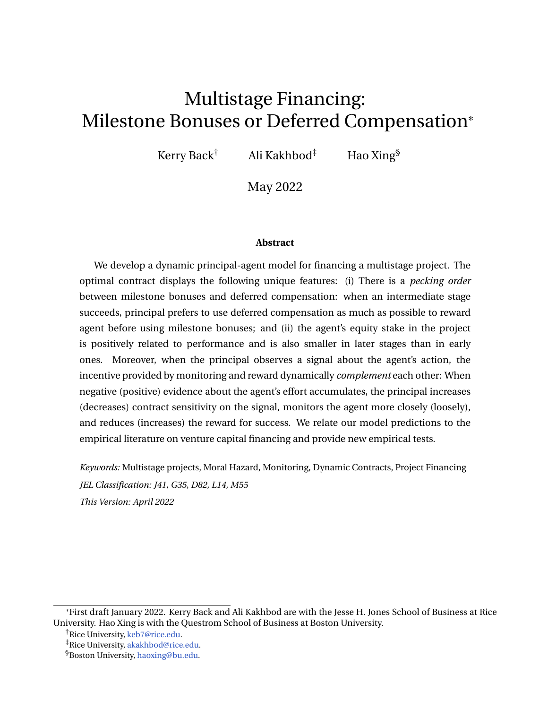<span id="page-23-0"></span>

Figure 3. **Optimal contract sensitivity and milestone bonus in a single-stage project**

*Notes: This figure plots the principal's value, the optimal contract sensitivity, and the optimal milestone in a single-stage project. Parameters used are*  $r = 0.1$ ,  $r = 0.05$ ,  $s = 0.2$ ,  $\bar{a} = 0.5$ ,  $l = 1$ ,  $D = 8$ ,  $p = 0.5$ ,  $U = 1$ , *and L* = 0*. The agent's outside value U is chosen to be* 1 *to produce an interior optimal R . Panel (a) shows that*  $\overline{U} = 1.61$ .

<span id="page-23-1"></span>

Figure 4. **Optimal contract sensitivity and milestone bonus for different**  $\ell$ **,**  $\bar{a}$ **,**  $D$ **, and**  $L$ 

*Notes: If not listed in the legend, parameters used are*  $r = 0.1$ ,  $r = 0.05$ ,  $s = 0.2$ ,  $\bar{a} = 0.5$ ,  $l = 1$ ,  $D = 8$ ,  $p = 0.5$ , *U* = 1*, and L* = 0*.*

agent. Panel (a) in Figure [4](#page-23-1) shows that the contract sensitivity has a larger magnitude when the agent's private benefit from shirking is larger. When negative evidence is accumulating against the agent and the project is close to its termination, the milestone bonus is also smaller for the agent with a higher benefit from shirking.

Panel (b) of Figure [4](#page-23-1) shows that the principal monitors the agent with higher maximum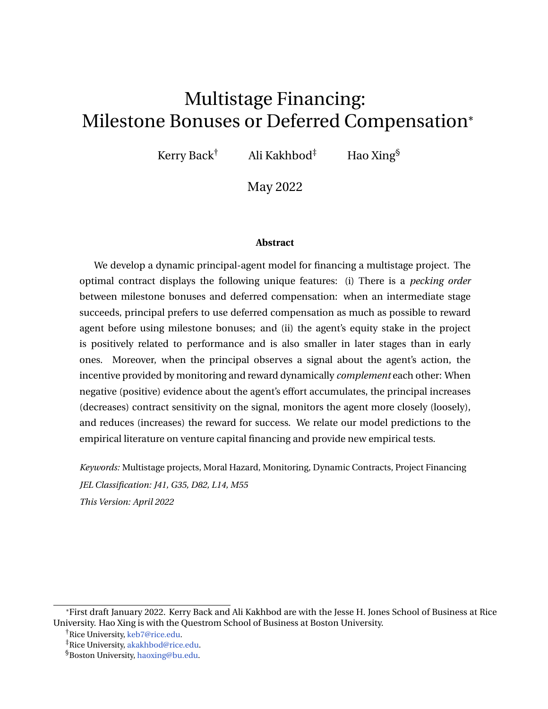effort more intensely. If we interpret the agent's maximum effort as his ability, then the principal monitors a more capable agent more closely and chooses a higher contract sensitivity. This result may sound counter-intuitive, but the reason behind this result is as follows: For a fixed milestone bonus  $R$ , the expected cost  $\partial R$  for rewarding the agent is higher when  $\tilde{a}$  is larger. When the project is close to its termination,  $\mathsf{V}^\ell\,>\,0$ , rewarding the agent also comes with an indirect cost  $\partial P \mathcal{W}^{\beta}$ , because [\(27\)](#page-19-2) shows that rewarding the agent decreases the agent's continuation utility, which pushes the agent's continuation utility closer to the termination boundary *U*, thereby increasing the probability of costly termination. Meanwhile, volatility  $l + U$  *pR* of the agent's continuation utility is fixed for the same *R*. Therefore, the expected cost of offering a milestone bonus is larger when  $\overline{a}$  is higher. Consequently, the principal reduces the milestone bonus and substitutes it with monitoring.

Panel (c) of Figure [4](#page-23-1) shows that the principal monitors projects with larger payoffs more intensely, chooses a stronger contract sensitivity, and offers the agent more financial flexibility. This gives the agent more freedom to deliver big prize success. When project termination is more costly to the principal (lower *L*), Panel (d) shows that the principal rewards the agent less and offers a longer credit line. Again, a smaller milestone bonus helps to mitigate termination risk. A longer credit line also defers the more costly termination.

### **Multiple-stage project**

In this section, we examine a two-stage project. Following the discussion around the baseline model, we consider the first-stage problem [\(19\)](#page-15-1) after the second-stage problem is solved.

Similar to the argument leading to [\(29\)](#page-20-2)–[\(31\)](#page-20-5), we start with the following HJB equation for  $V^{(1)}$ :

$$
(r + \bar{a})V^{(1)} = \max_{U^{(2)}, R^{(1)}, j} I_{\bar{a}} p^{(1)} V^{(2)}(U^{(2)}) R^{(1)} + (r + \bar{a})U \bar{a} p^{(1)} U^{(2)} + R^{(1)} V^{(1)} \bar{a} p^{(1)} + \frac{1}{2} J^2 S^2 V^{(1)} \bar{a}^0
$$
\n(34)

and the boundary conditions

$$
V^{(1)}(\underline{U}) = L, \qquad V^{(1)} \ {}^{0}(\overline{U}) = 1, \quad \text{and} \qquad V^{(1)} \ {}^{00}(\overline{U}) = 0, \tag{35}
$$

for some *U*.

The following comparison between the principal's values and the agent's equity stakes still hold in the current setting.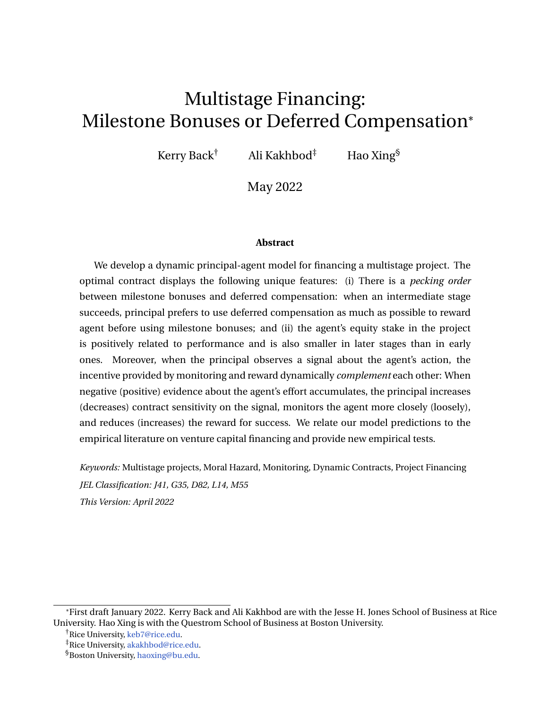<span id="page-25-0"></span>**Proposition 4.** Suppose that [\(9\)](#page-11-1) and [\(10\)](#page-12-2) hold. Then  $V^{(1)}(U) < V^{(2)}(U)$  for  $\underline{U} < U$ min  $\;\overline{U}^{(1)}$  ,  $\overline{U}^{(2)}\;$  . *Therefore, the agent's equity stake*  $\frac{U}{U+V^{(1)}(U)}$  *in the first stage is always larger than the equity stake*  $\frac{U}{U+V^{(2)}(U)}$  *in the second stage.* 

Figure [5](#page-26-0) illustrates the optimal contract for a two-stage project. Similar to the baseline case, Panels (a) and (b) show that the principal's first-stage value is less than the secondstage value. Consequently, the agent's equity stake is higher in the first stage than in the second stage.

Due to positive contract sensitivity, the agent's continuation utility  $U$  is positively correlated with the signal about the agent's action. When positive evidence on the agent's action accumulates, the agent's continuation utility increases. Then, as Panel (b) of Figure [5](#page-26-0) shows, his equity stake increases as well. This result is consistent with the empirical observations in [Kaplan and Strömberg](#page-39-3) [\(2003\)](#page-39-3) that a VC's equity stake is lower when an entrepreneur performs well compared to the bad performance state; hence, the entrepreneur's equity stake is higher in the good performance state. Moreover, [\(Kaplan and](#page-39-3) [Strömberg,](#page-39-3) [2003,](#page-39-3) p. 287 )also observe that "the state-contingencies are significantly greater in first VC rounds compared to subsequent ones." This finding is also consistent with our model prediction in Panel (b) that the derivative of the black solid line (the agent's equity stake in the first stage) is larger than the derivative of the red dotted line (the agent's equity stake in the second stage).

Panel (c) of Figure [5](#page-26-0) shows the optimal  $U^{(2)}$  as a function of the agent's continuation utility  $U$  at the time when the first stage is successfully completed. This panel shows that the agent receives a bump in his continuation utility from *U* to  $U^{(2)}(U)$  when the first stage is successfully completed. Moreover,  $U^{(2)}$  increases with  $U$  until  $U$  reaches a threshold and  $U^{(2)}$  is bound at  $\overline{U}^{(2)}$ . Then, the first-stage milestone bonus turns positive and increases with *U*, as shown by the black solid line in Panel (e). In this case, the agent is rewarded with a maximum continuation utility  $\overline{U}^{(2)}$  and also a milestone bonus  $R^{(1)}$  to start the second stage of the project.

In the contract implementation discussed in Section [4,](#page-27-0) the maximum level of  $U$  is interpreted as the maximum balance of a credit line. We denote  $\overline{U}^{(1)}$  as the maximum level of *U* in the first stage.  $\overline{U}^{(1)}$   $\:$   $\,$   $\,$   $\,$  represents the balance of the credit line in the first stage. For the example in Figure [5,](#page-26-0)  $\overline{U}^{(1)}$  and  $\overline{U}^{(2)}$  are approximately the same. Then, the bump from *U* to  $U^{(2)}$  implies a reduction in the credit line balance to start the second-stage contract. In particular, when  $U^{(2)}$  reaches  $\overline{U}^{(2)}$ , the agent's credit line balance is cleared before the second stage is initiated.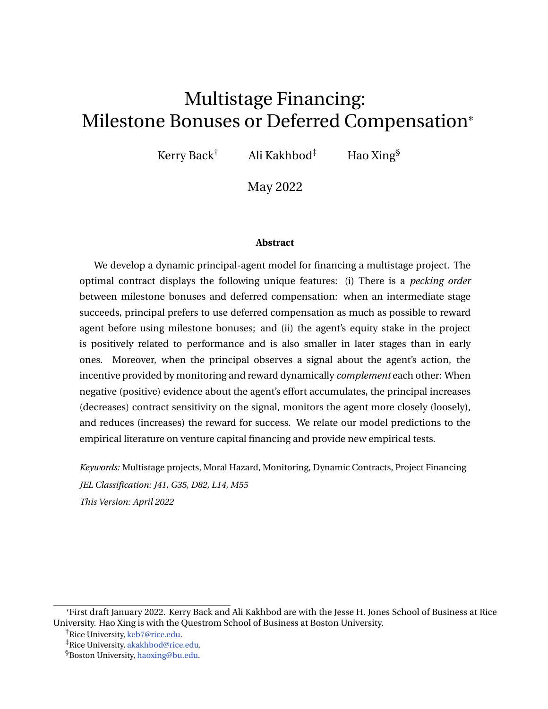<span id="page-26-0"></span>

Figure 5. **Optimal contract for a two-stage project with a signal**

*Notes: This figure plots the principal's value, the agent's equity stake, the agent's continuation utility U*(2) *at the beginning of the second stage, milestone bonuses, and contract sensitivities for a two-stage project, and compares them with those for a single-stage project. The parameters used are*  $r = 0.1$ ,  $r = 0.05$ ,  $s = 0.2$ ,  $\bar{a} = 0.5$ ,  $l =$ 1, D = 16, <u>U</u> = 0, and L = 0. For the two-stage project, the success probabilities are  $p^{(1)} = p^{(2)} = 0.5$ , and the *agent's maximum effort is a*¯ = 0.5 *in both stages. For the single-stage project, the success probability is* 0.25*, which matches the probability of final success in the two-stage project. The agent's maximum effort is*  $\bar{a} = 0.5$  *in both stages of the two-stage project. The agent's maximum effort is*  $\bar{a} = 0.25$  *in the single-stage project, so the expected success time in the two projects are the same.*

Panel (e) of Figure [5](#page-26-0) shows the milestone bonuses at the end of the first stage (black solid line) and at the end of the second stage (red dotted line). Panel (f) presents the optimal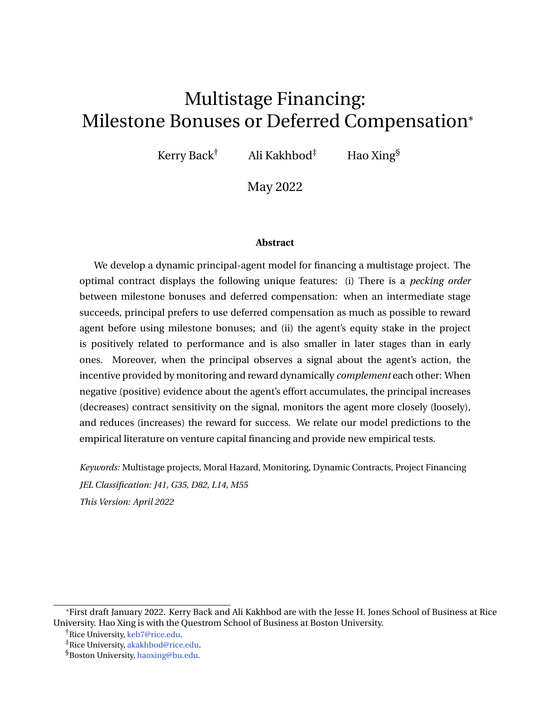contract sensitivities. In the first stage, when *U* is low,  $R^{(1)} = 0$ . However, the expected value of  $U^{(2)}$  partially substitutes for monitoring so that  $j_t < l + U_t$ . When  $U$  reaches a threshold where  $U^{(2)}$  reaches  $\overline{U}^{(2)}$ , if the first stage is still not completed, monitoring is further substituted with the milestone bonus  $R^{(1)}$  and the contract sensitivity decreases to zero as  $U$  approaches  $\overline{U}^{(1)}$ . In the second stage of the project, when  $R^{(2)}\,=\,0,$  the contract sensitivity (red dotted line in Panel (f)) is bound at  $l + U_t$ , until  $U$  reaches a threshold. Then, the monitoring is gradually phased out by the second-stage milestone bonus  $\mathcal{R}^{(2)}.$ 

Figure [5](#page-26-0) also compares the principal's value and the optimal contract between a two-stage project and a single-stage project. For the single-stage project, the project either succeeds or fails at its single completion time. Therefore, the principal cannot terminate the project at an intermediate time when the first stage of the project fails. When both projects have the same success probability and the same expected final completion time, Panel (d) of Figure [5](#page-26-0) shows that the principal's initial value for the two-stage project (the highest point of the black solid line) is higher than the initial value for the single-stage project (the highest point of the blue dashed line). This is because the two-stage project gives the principal the flexibility to terminate a failed project early instead of waiting until the final completion. As for the optimal contract, Panels (e) and (f) of Figure [5](#page-26-0) show that the principal relies more on reward than monitoring to incentivize the agent's effort.

## <span id="page-27-0"></span>**4 Capital structure implementation**

In this section, we show how the optimal contract can be implemented using standard securities. The project raises initial funding by issuing the securities at time 0:

- **Long-Term Debt.** The project is initially funded by a general partner (principal) and a group of outside long-term debt holders. Debt holders receive continuous coupons at rate *x*. Let the borrowing rate be *r* so that the face value of the debt is  $D = x/r$ .
- $\bullet \,$  **Credit Line.** A credit line provides the project available credit up to a limit  $\overline{\cal M}^{(i)}$  in stage *i* of the project. If the balance on the credit line reaches  $\overline{M}^{(i)}$  in stage *i*, the project is terminated. When the credit line is fully repaid, all excess cash is paid to the agent. Balances on the credit line are charged at a fixed interest rate *r*.
- **Inside Equity.** The general partner offers the agent inside equity for the project. If stage *i* succeeds at time *t*, the inside equity held by the agent pays out cash dividend  $R_t^{(i)}$  $t$ <sup>t</sup> to the agent.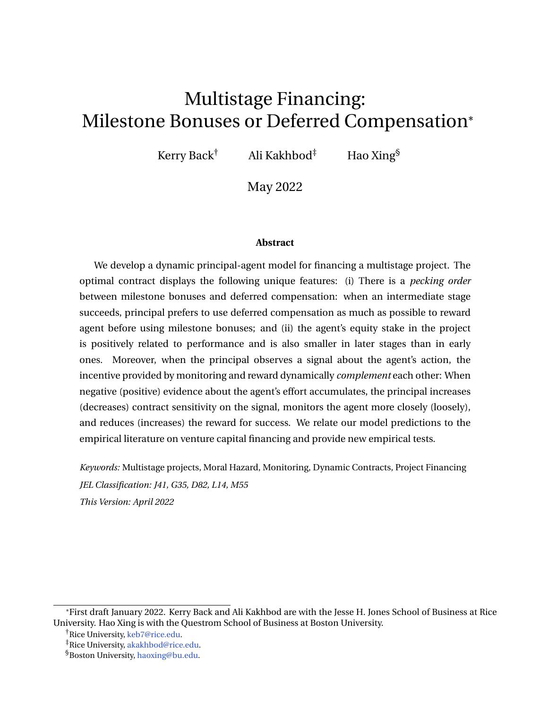<span id="page-28-3"></span>**Proposition 5.** *Consider a capital structure in which the general partner contributes at rate jtdy<sup>t</sup> to the credit line according to her observation y<sup>t</sup> of the signal. In stage i, a credit line with*  $limit \, \overline{M}^{(i)} = \overline{U}^{(i)}$   $\quad \underline{U}$  *is set up. The face value of the debt satisfies* 

$$
rD = \bar{a}l \qquad r\overline{U}^{8}
$$

*The general partner offers the agent inside equity for the project. This inside equity rewards the agent cash dividend R* (*i*) *t if stage i succeeds at time t. At the same time, the agent receives a new credit line with limit*  $\overline{\mathsf{M}}^{(i+1)}$  *and initial balance*  $\overline{\mathsf{U}}^{(i+1)}$  $U^{(i+1)}$ .

*Under this capital structure, the agent's expected future payoff*  $U_t$  *is determined by the current draw on the credit line*

$$
U_t = \underline{U} + (\overline{M}^{(i)} \quad M_t)
$$

*when the project is in stage i. This capital structure implements the optimal contract, and the agent exerts his maximum effort.*

### <span id="page-28-0"></span>**5 Extensions**

Two extensions of our model are presented in this section. In Section [5.1,](#page-28-2) we build on the baseline model from Section [2](#page-10-0) by presenting a model in which the project payoff is uncertain and the principal can exercise a costly real option to learn the project payoff. The project is naturally broken into two stages: before and after the option exercise. We show that the option exercise resolves the uncertainty about project payoff; hence, the agent's equity stake is still smaller in the second stage. The pecking order between deferred compensation and milestone bonuses remains. As an extension of Section [3,](#page-18-0) we consider in Section [5.2](#page-32-0) a model in which the principal can choose how precise the signal about the agent's effort is. We show that when negative (positive) evidence about the agent's effort accumulates, the principal increases (decreases) the signal precision so that monitoring intensifies (abates).

#### <span id="page-28-2"></span>**5.1 Information acquisition about the project payoff**

So far we have assumed that the project payoff D is known to the principal. In this section, we consider an extension in which the project payoff is uncertain and could take binary values  $D^1 = 0$  or  $D^h > 0$ . The principal's prior distribution on D is  $P(D = D^l) = 1$  *q* and  $P(D = D^h) = q$ . To resolve the uncertainty, the principal can exercise a costly real option

<span id="page-28-1"></span> ${}^{8}$ If *x* =  $\bar{a}$ *l*  $\quad$  rU < 0, the general partner also contributes to the credit line at a constant rate  $\alpha$ . In all our numeric experiments, *x* is positive.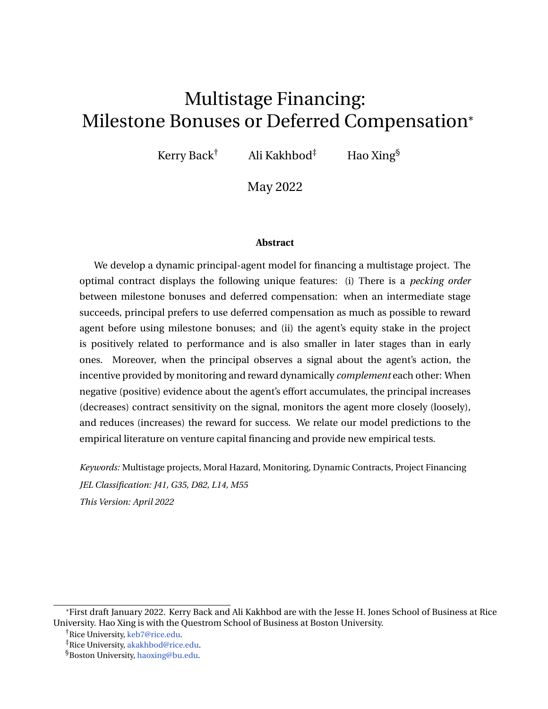to investigate the true value of the project. Depending on the investigation's findings, the principal either terminates the project early if the true payoff turns out to be of the low type, or continues the project if the payoff is of the high type. If the principal chooses to exercise the option, the project is naturally divided into two stages: before the exercise and after the exercise. In contrast to the previous models, completion of the first stage is determined by the principal in the current setting. If the project is of the high type, the principal offers the agent a new contract with a continuation utility  $U<sup>ex</sup>$  at the beginning of the second stage. The principal can also award the agent a milestone bonus *R ex* after the option exercise. If the principal chooses not to exercise the option, there is only one stage in the project, similar to the single-stage project in the baseline model. We will show that the pecking order between deferred compensation and milestone bonuses remains the same in the current setting.

If the project is completed at time *n* before the option exercise or termination, the agent's payoff depends on the project type. If a high type project succeeds at its completion, the agent receives a milestone bonus  $R^{(1)}$ . Otherwise, if either the project fails or the project is of low type, the agent receives nothing at the completion. Therefore, when the project is completed before the option exercise, the agent's expected reward right before completion is  $p(a_n)qR_n^{(1)}.$  Meanwhile, when the agent exerts his maximum effort, the principal's expected payoff, after netting rewards to the agent, is  $pq(D<sup>h</sup>)$ *h*  $R_n^{(1)}$ ).

If the principal exercises the real option at time *i* to investigate the quality of the project, after the investigation, the agent's continuation utility depends on the revealed project type. If the project is of the high type, the principal offers the agent a new contract that provides the agent a continuation utility of  $U^{\text{ex}}$  for the next phase of the project. The principal's value in the next phase is

<span id="page-29-0"></span>
$$
V_i^{(2)} = V^{(2)}(U^{ex})
$$
  
=  $\sup_{C,R^{(2)}} \mathbf{E}_i^{\frac{1}{d}} e^{-r(s-i)} (dC_s) + I_{\hat{r}_n < t} e^{-r(n-i)} p(D^h \ R_n^{(2)}) + I_{\hat{r}_n < t} e^{-r(t-i)} L^i$  (36)

where there is no uncertainty about the project's payoff D *h* . To illustrate the main mechanism, we assume that the principal does not observe the signal about the agent's effort and, therefore, can only incentivize the agent using *C* and milestone bonus  $R^{(2)}$ . Moreover, the principal can also award the agent a milestone bonus *R ex* after the high type is revealed. If the project is of the low type, the principal terminates the project. Neither the agent nor the principal receive anything at termination.

Investigation is costly, and its cost to principal is *k*. Summarizing the previous two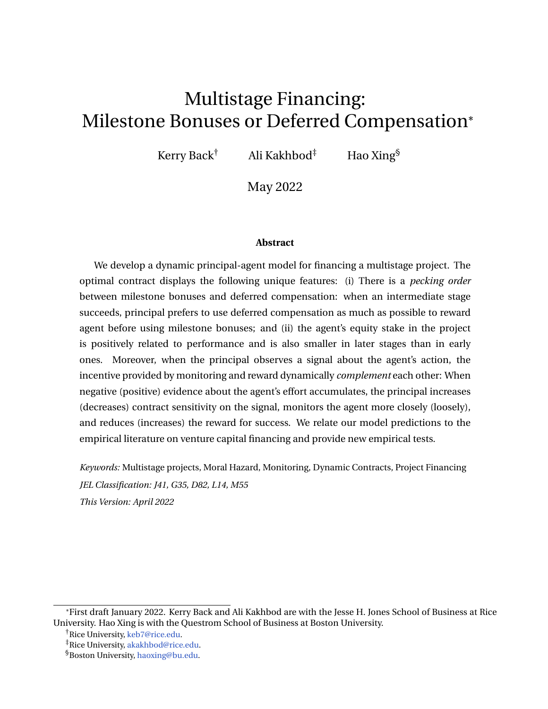scenarios, the expected value from investigation is

<span id="page-30-1"></span>
$$
G(U) = \sup_{U^{ex}, R^{ex}} q \ V^{(2)}(U^{ex}) \ R^{ex}) \ k,
$$
 (37)

subject to

<span id="page-30-0"></span>
$$
q(U^{ex} + R^{ex}) = U.
$$
 (38)

The constraint is a promise-keeping condition that the agent's continuation utility *U* right before the option exercise is exactly the expected payoff afterward. We call *G* the real option's exercise value.

When we introduce a Lagrangian multiplier *h* for the constraint [\(38\)](#page-30-0), problem [\(37\)](#page-30-1) is transformed into

$$
\sup_{U^{ex}, R^{ex}} \bigg|q \ V^{(2)}(U^{ex}) \quad R^{ex} \quad k + hq \ U^{ex} + R^{ex} \bigg|^{O}.
$$

The first-order conditions with respect to *Uex* and *R ex* are

$$
V^{(2) \theta}(U^{ex}) + h = 0
$$
 and  $h = 1$ .

Because  $(V^{(2)})^{\ell} (U^{e\chi}) > 1$  when  $U^{e\chi}$  is less than its maximum value  $\overline{U}^{(2)}$ , the previous two first-order conditions cannot hold simultaneously. The pecking order between deferred compensation and milestone bonuses remains valid: Only when  $U^{ex} = \overline{U}^{(2)}$ , does the principal award the agent a positive milestone bonus *R ex* after the option exercise.

We formulate the optimal stopping problem facing the principal to determine the optimal investigation time in Appendix [B.](#page-49-0) We present the results here.

Panel (a) in Figure [6](#page-31-0) presents the principal's value before the option exercise. The red dotted line is the option's exercise value *G*, and the black solid line is the principal's value before the option exercise.<sup>[9](#page-30-2)</sup> The project is initiated at the red asterisk on the black solid line, where the maximum value is achieved for the principal. After time 0, the agent's continuation utility *U* moves from 1.17 to the left. When *U* reaches 0.69 (red circle on the black solid line) before the project completion, it is optimal for the principal to exercise the real option. If the investigation reveals that the project is of the high type, the principal's value jumps from the red circle on the black solid line in Panel (b) to the red circle on the blue dashed line, which represents the principal's value  $V^{(2)}$  in the second stage. The red circle on the blue dashed line represents  $(U^{\text{ex}}, V^{(2)}(U^{\text{ex}}))$  with  $U^{\text{ex}}=$  1.39. The second-stage of the project starts from

<span id="page-30-2"></span><sup>&</sup>lt;sup>9</sup>The value function does not satisfy the smooth-pasting property due to the lack of Brownian noise. However, the value function satisfies the value-matching property between the value function and the exercise value.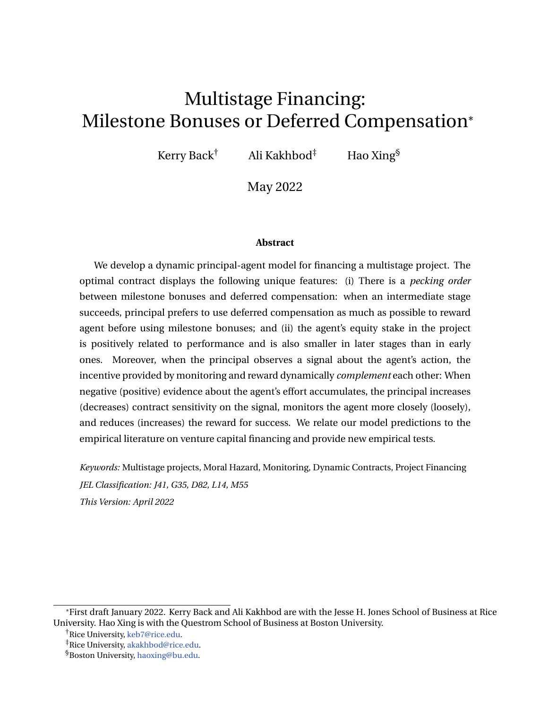<span id="page-31-0"></span>

Figure 6. **Optimal contract with a real option**

*Notes: This figure presents the principal's value before and after option exercise, deferred compensation at the beginning of the second stage, and the optimal milestone bonus. The parameters used are r* = 0.1*, r* = 0.05*,*  $a = 0.5$ ,  $l = 1$ ,  $p = 0.5$ ,  $q = 0.5$ ,  $k = 0.8$ ,  $D^h = 16$ ,  $D^l = 0$ ,  $\underline{U} = 0$ , and  $L = 0$ .

this red circle and moves to the left. The project is either completed or terminated when *U* reaches zero.

Panel (b) of Figure [6](#page-31-0) also shows that the principal's value after revealing the high type is larger than the value before. This change occurs because uncertainty because the project type has been resolved. A higher value after investigation implies that when the agent's continuation utility is the same, the equity stake is lower in the second stage than in the first.

Panel (c) of Figure [6](#page-31-0) plots *Uex* as a function of *U*. When *U* reaches 0.69, the principal exercises the option and awards the agent a new contract with continuation utility  $U^{ex} = 1.39$ . The black solid line in Panel (d) plots  $R^{ex}$  as a function of *U*. When  $U = 0.69$ ,  $U^{ex}$  does not reach its maximum; hence,  $R^{ex} = 0$ . In other words, the principal does not award a milestone bonus after the option exercise in this case.

In addition to the black solid line, Panel (d) of Figure [6](#page-31-0) also plots the milestone bonuses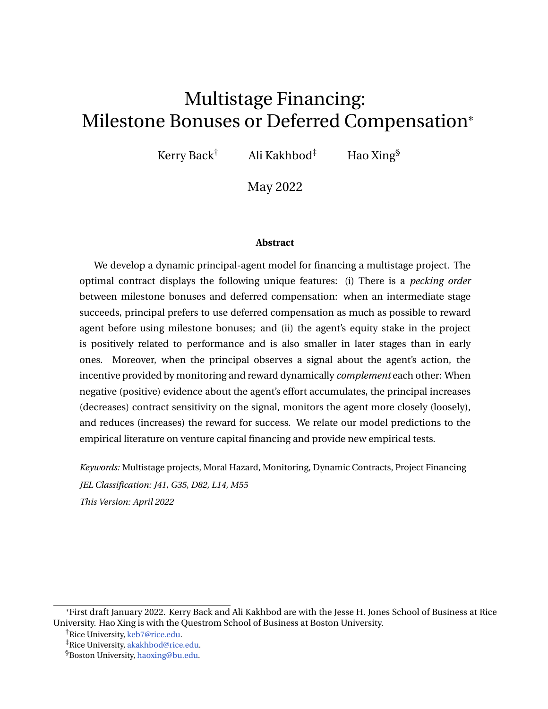$R^{(1)}$  and  $R^{(2)}$ , which the agent receives when the project succeeds, respectively, before and after the option exercise. In particular, after the project starts at the red asterisk on the red dotted line, as  $U$  moves to the left, the magnitude of  $R^{(1)}$  decreases over time. If the project is completed before *U* reaches 0.69 and the project turns out to be of the high type, the red dotted line represents the milestone bonus  $R^{(1)}(U)$  rewarded to the agent. If  $U$  reaches 0.69 but the project is not yet completed, the magnitude of the milestone bonus jumps from the red circle on the red dotted line to the red circle on the blue dashed line. The red circle on the blue dashed line represents  $(U^{e\chi}, R^{(2)}(U^{e\chi}))$ . After the option exercise, the magnitude of milestone bonus  $R^{(2)}$  is represented by the blue dashed line. In the second stage, as  $U$ decreases,  $R^{(2)}$  decreases as well.

Our model generates a pattern of success rewards that is decreasing in time in the first stage, jumps down after the high project type is revealed by the investigation, and decreases further in the second stage. Moreover, comparing the red dotted line and the blue dashed line in Panel (d) of Figure [6](#page-31-0),  $R^{(1)}$  is higher than  $R^{(2)}$  for the same level of *U*. Therefore, when the agent has the same amount of skin in the project, which is measured by *U*, the reward for success is larger in the first stage than in the second stage. The intuition for this result is as follows: Before the investigation, the project type is uncertain. Only when a hightype project is successfully completed does the agent receives the bonus  $R^{(1)}$ . Therefore, the agent's expected reward is  $pqR^{(1)}$ . However, after the investigation reveals that the project is of the high type, the agent is more certain to get the reward, so the expected reward after investigation changes to  $pR^{(2)}$ . Therefore,  $R^{(1)}$  must be larger than  $R^{(2)}$  to reach the same expected reward to balance the marginal cost *l* + *U* and incentivize the agent. As a result, the success reward is larger when there is more uncertainty.

#### <span id="page-32-0"></span>**5.2 Optimal signal precision**

Results in Section [3](#page-18-0) show that the optimal contract depends less on the signal (lower contract sensitivity) as positive evidence of the agent's effort accumulates and the agent's continuation utility *U* increases. Therefore, the signal becomes less important to the principal as *U* increases. One would intuitively expect the principal to prefer a highly precise signal (close monitoring) when *U* is low, but can accept a low precision signal (loose monitoring) when *U* is high. We confirm this intuition by considering a model in which the principal can control the precision of the signal. In this model, we show that monitoring intensifies as negative evidence about the agent's effort accumulates.

The volatility *s* in [\(24\)](#page-19-3) measures the information quality of the signal. The principal decides how closely to monitor the agent by choosing *s* at each time from a finite interval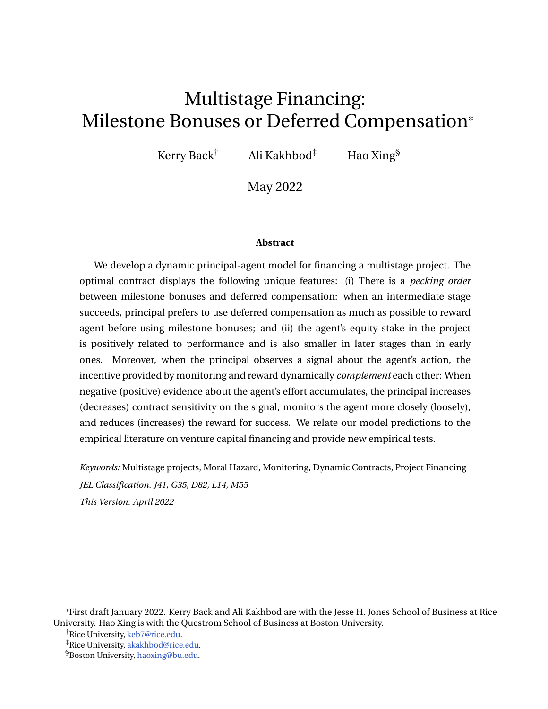[*smin*, *smax*]. A small value for *s* represents close monitoring by the principal, resulting in a more informative signal about the agent's effort. However, monitoring is costly to the principal. We assume that the monitoring cost per unit of time is

<span id="page-33-0"></span>
$$
c(s) = \frac{M}{s^2} \tag{39}
$$

for a positive constant *M*, such that the monitoring cost is proportional to the precision of the signal. We consider a single-stage project to illustrate the idea.

In this case, the principal's value satisfies the HJB equation

<span id="page-33-1"></span>
$$
(r + \bar{a})V = \sup_{R,j,s} \bar{a}p(D \ R) \frac{M}{s^2} + (r + \bar{a})U \ \bar{a}pR \ V^{\theta} + \frac{1}{2}j^2 s^2 V^{\theta 0}, \qquad (40)
$$

subject to  $R \nightharpoonup [0, D]$ ,  $j \quad l + U \quad pR$ , and boundary conditions [\(29\)](#page-20-2) and [\(30\)](#page-20-3).

The following proposition summarizes the principal's optimal signal choice, together with the optimal success reward and contract sensitivity.

<span id="page-33-2"></span>**Proposition 6.** *When the principal can choose s* 2 [*smin*, *smax*]*, subject to the monitoring cost in* [\(39\)](#page-33-0)*, all statements in Proposition [3](#page-20-4) hold, with s in* [\(32\)](#page-20-6) *replaced by the optimal s .*

*When R is interior optimal, the optimal signal volatility is*

<span id="page-33-3"></span>
$$
S = \begin{cases} S_{min}, & \frac{\partial^{2} (1 + V^{\theta})^{2}}{2V^{\theta}} > M \\ S_{max}, & \frac{\partial^{2} (1 + V^{\theta})^{2}}{2V^{\theta}} > M \end{cases}
$$
(41)

*and*  $s = s_{max}$  *is in the neighborhood of*  $\overline{U}$ *.* 

To understand the optimal signal volatility choice, we plug the interior optimal  $R =$ 1  $\frac{1}{p}$  / + *U* +  $\frac{\tilde{a}(1+V^{\circ})}{s^2V^{\circ\circ}}$  $\frac{1+\nu}{s^2V}$  into the right-hand side of [\(40\)](#page-33-1) to obtain the following optimization in the signal precision 1/*s* 2 :

$$
\max_{s2[s_{min},s_{max}]} \frac{\bar{a}^2(1+V^{\prime\prime})^2}{2V^{\prime\prime\prime}} \quad M \frac{1}{s^2}.
$$

Here, *M* is the marginal cost of signal precision. Because  $V^{\text{IV}} < 0$ , the term  $\frac{\partial^2 (1 + V^{\text{I}})^2}{2V^{\text{III}}}$  is positive, and we interpret it as the marginal benefit of signal precision. When the marginal benefit is larger than the marginal cost, the principal chooses the highest signal precision with  $s = s_{min}$ ; otherwise, the principal chooses the lowest precision with  $s = s_{max}$ . When *R* is binding at 0 or D, the optimal *s* could be interior.

Solving the HJB equation  $(40)$  together with boundary conditions  $(29)$  and  $(30)$ numerically, we present the optimal contract and the optimal signal precision choice in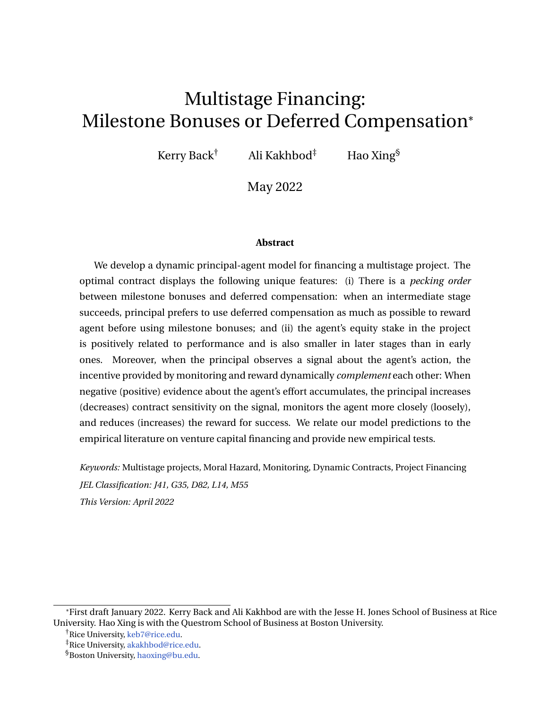#### <span id="page-34-0"></span>Figure [7.](#page-34-0)



Figure 7. **Optimal contract and signal precision choice**

*Notes: This figure plots the optimal contract sensitivities, the milestone bonuses, the marginal benefit of signal precision, and the optimal signal precision when the agent's outside value U is either* 0 *or* 1*. Other parameters* used are  $r = 0.1$ ,  $r = 0.05$ ,  $\overline{a} = 0.5$ ,  $l = 1$ ,  $S_{min} = 0.2$ ,  $S_{max} = 0.3$ ,  $M = 0.03$ ,  $p = 0.5$ , and  $L = 0$ .

Panel (c) in Figure [7](#page-34-0) shows that the marginal benefit of signal precision decreases as the agent's continuation utility *U* increases, and it converges to zero as *U* approaches the payment boundary  $\overline{U}$ . As a result, the principal chooses high signal precision and monitors the agent closely when the project is close to termination, but she chooses low signal precision and loosens monitoring when the agent has sufficient skin in the project. When the agent's outside value *U* is zero and the agent's continuation utility *U* is small, Panel (b) shows that the milestone bonus *R* is bound at zero. This avoids a negative drift  $(r + \bar{a})U$  *aR* of the agent's continuation utility and mitigates the risk of project termination. When *U* is larger, the principal can choose a positive milestone bonus  $R$  to simultaneously avoid negative drift and reduce the volatility  $l + U$  *pR* for the agent's continuation utility. Hence, the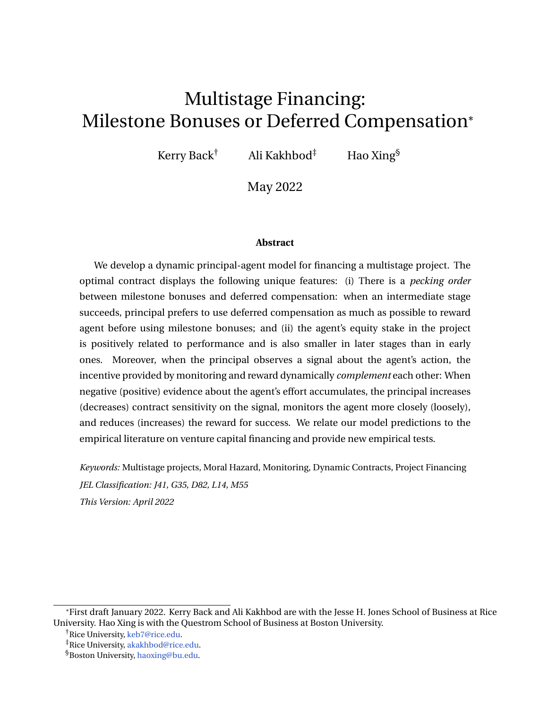red dotted line in Panel (b) shows  $R > 0$  when U is close to U. In both cases, R jumps when the principal switches to the lowest signal precision. In this regime, *R* increases to  $(l + \overline{U})/p$  and the optimal contract sensitivity *j* decreases to zero, as *U* approaches the payment boundary  $\overline{U}$ . When R is not bound by either 0 or D, the red dotted line in Panel (d) shows that the principal either chooses the highest signal precision when the agent's continuation utility is low or the lowest signal precision when the continuation utility is close to the payment boundary, confirming the result in Proposition [6.](#page-33-2)

### <span id="page-35-0"></span>**6 Model empirical predictions**

Several predictions of our model are supported by the empirical literature on venture capital financing. Our model predicts that the agent's equity stake is smaller in later financing rounds. This prediction is due to the resolution of uncertainty in later stages, which increases the project value for the principal and decreases the entrepreneur's equity stake. Project uncertainty can be either its success probability or its potential payoffs. Project success is more certain in later stages because early stages are successfully completed (see the baseline model in Section [2](#page-10-0) and the model with monitoring in Section [3\)](#page-18-0) and because the project payoff is more certain in later stages after investigation (see the model in Section [5.1\)](#page-28-2). This prediction is consistent with [Bengtsson and Sensoy](#page-37-0) [\(2015\)](#page-37-0) and [Ewens, Nanda, and Stanton](#page-38-1) [\(2020\)](#page-38-1), who document that an entrepreneur's equity stake is lower in later funding rounds and decreases with firm age.

When the principal observes a signal about the agent's effort, our model illustrates that the reward for success increases with positive evidence about the agent's effort and that the state-dependence is more significant in the first VC rounds compared to subsequent ones. These results are consistent with the empirical evidence of [Kaplan and Strömberg](#page-39-3) [\(2003\)](#page-39-3).

Our model generates two additional predictions that could be interesting for empirical testing.

1. **Pecking order between milestone bonuses and deferred compensation.** Our model shows that when a project succeeds in its intermediate stage, it is more efficient to reward the agent deferred compensation rather than cash. This result implies a backloaded cash reward for entrepreneurs.

This prediction is related to [Ewens, Nanda, and Stanton](#page-38-1) [\(2020\)](#page-38-1). They show that having a "product–market fit" is a significant milestone at which point cash compensation increases significantly for CEOs. They argue that having product–market fit reduces the reliance on key human capital and that the threat of inefficient project termination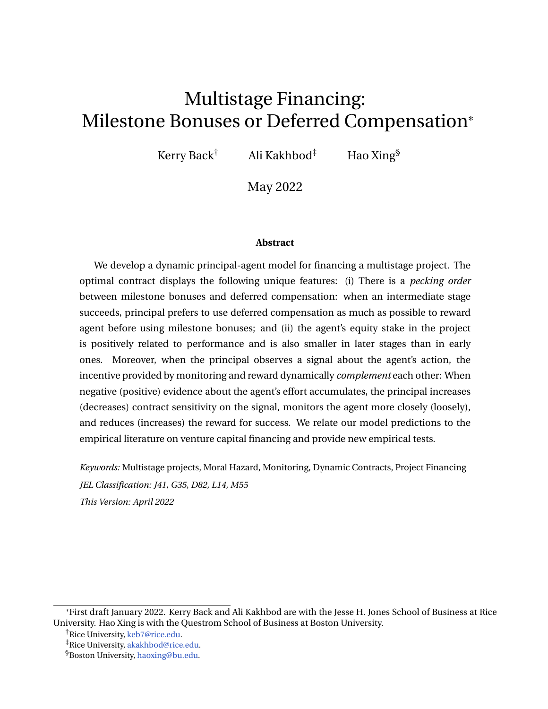due to the departure of key personnel becomes less severe.

[Oyer](#page-39-4) [\(2004\)](#page-39-4) and [Oyer and Schaefer](#page-40-1) [\(2005\)](#page-40-1) find empirical evidence that firms generally prefer to grant deferred compensation (e.g., stock options) to its employees rather than paying a cash bonus, specifically to improve retention, which is consistent with our results. To test and measure the threshold strategy, one could implement automatic manipulation tests based on density discontinuity (see [McCrary](#page-39-12) [\(2008\)](#page-39-12) and [Cattaneo,](#page-38-11) [Jansson, and Ma](#page-38-11) [\(2018,](#page-38-11) [2020\)](#page-38-12)) using firm-level data from the National Center for Employee Ownership (NCEO), firm annual reports, and data on the incidence of employee stock options from the Bureau of Labor Statistics Pilot Survey.

2. **Complementarity between monitoring and reward.** Our model shows that monitoring and rewarding success complement each other in the optimal contract. When positive (negative) evidence about the agent's effort accumulates, the agent's compensation depends less (more) on the documented evidence, the reward for project success increases (decreases), and the principal loosens (intensifies) monitoring.

Strict monitoring in bad states relates to board supervision in [Kaplan and Strömberg](#page-39-3) [\(2003\)](#page-39-3). The authors show that when performance is lower than expected, the VC gets more board control rights and voting control. As performance improves, the entrepreneur retains more control rights, whereas VCs retain their cash-flow rights but relinquish most of their control rights.

To analyze the relationship between monitoring and reward, one potential strategy is to use the data set in [Bernstein, Giroud, and Townsend](#page-38-2) [\(2016\)](#page-38-2). They show that the introduction of new airline routes that reduce VCs' travel times to their existing portfolio companies increase VCs' involvement and increase both innovation and the likelihood of a successful exit. It would be interesting to examine VC contracts with their portfolio companies to determine whether the potential rewards (such as entrepreneur cash flow rights or equity stakes) are reduced due to more VC involvement after the introduction of new airline routes.

# <span id="page-36-0"></span>**7 Conclusion**

This paper presents a dynamic principal-agent model for financing a project that has three salient features of a long-term research project or a venture capital–backed startup. First, the project has multiple stages and only yields a final payoff when all stages are successfully completed. Second, the agent's effort and involvement in the project are hard to observe or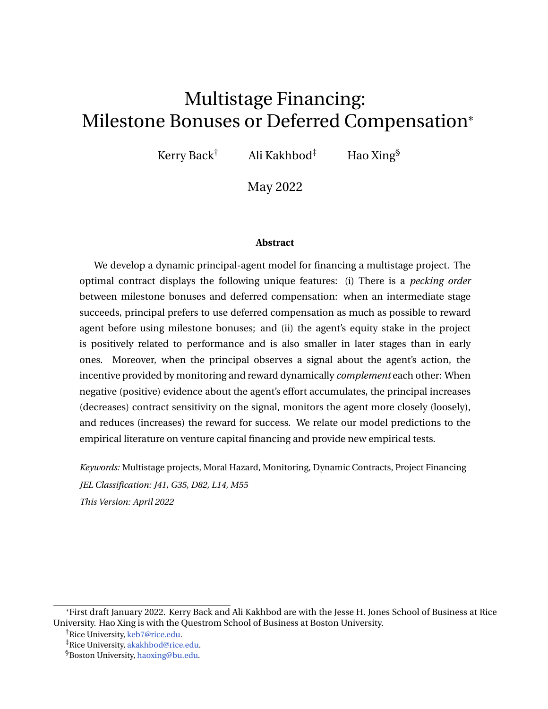monitor. Third, key project personnel have a limited commitment of human capital, and the project is inefficiently terminated once the key personnel leave the project.

The optimal contract has several unique features: (1) It is suboptimal to reward the agent with cash bonuses for intermediate-stage success unless the agent's continuation utility exceeds a threshold. Hence, there is a pecking order between deferred compensation and cash bonuses. Deferred compensation should be used first to reward milestone success, and cash bonuses should only rewarded when the deferred compensation reaches its maximum. (2) The agent's equity stake in the project is positively related to performance and is also lower and less sensitive to performance in later stages than early ones. This is due to the resolution of project uncertainties in later stages. Because a project is closer to its final success and its payoff is more certain in later stages, the project value is larger in later stages, resulting a smaller equity stake for the agent. (3) When the agent's effort can be imperfectly monitored, the incentive provision of monitoring and reward dynamically complement each other in the optimal contract. When negative (positive) evidence about the agent's effort accumulates, monitoring intensifies (abates) and the reward is reduced (increased). We link these model predictions to empirical evidence from venture capital contracts and propose additional empirical tests.

It would be interesting to incorporate additional features into our model setting. For example, the model could incorporate the long-term impacts of the agent's actions. For long-term research projects, trials and experiments in the past, even if they fail, can provide valuable information for the project and can ultimately lead to project success. Therefore, it is realistic to assume that the agent's effort has long-term impacts. Understanding the optimal contract in this setting is challenging. We leave it for future research.

### **References**

- <span id="page-37-2"></span>AI, H., AND R. LI (2015): "Investment and CEO compensation under limited commitment," *Journal of Financial Economics*, 116, 452–472.
- <span id="page-37-0"></span>BENGTSSON, O., AND B. SENSOY (2015): "Changing the nexus: the evolution and renegotiation of venture capital contracts," *Journal of Financial and Quantitative Analysis*, 50(3), 349– 375.
- <span id="page-37-1"></span>BERGEMANN, D., AND U. HEGE (1998): "Venture capital financing, moral hazard, and learning," *Journal of Banking & Finance*, 22(6-8), 703–735.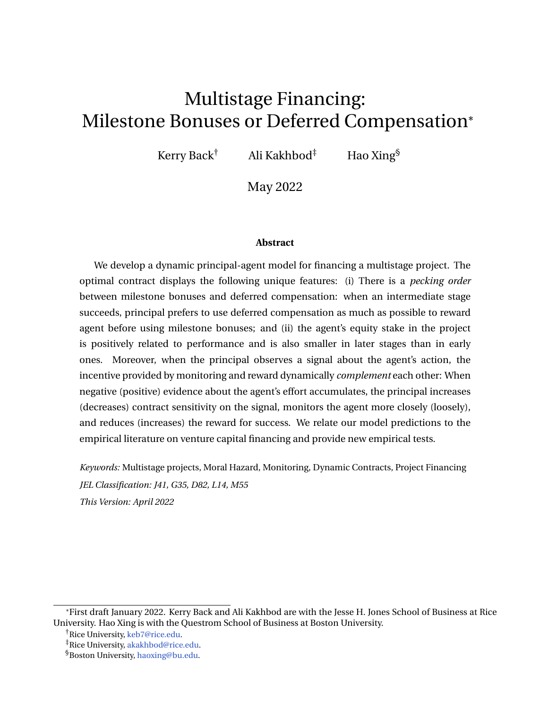<span id="page-38-9"></span>(2005): "The financing of innovation: learning and stopping," *RAND Journal of Economics*, 36(4), 719–752.

- <span id="page-38-2"></span>BERNSTEIN, S., X. GIROUD, AND R. TOWNSEND (2016): "The impact of venture capital monitoring," *Journal of Finance*, 71(4), 1591–1622.
- <span id="page-38-6"></span>BIAIS, B., T. MARIOTTI, G. PLANTIN, AND J.-C. ROCHET (2007): "Dynamic security design: convergence to continuous time and asset pricing implications," *Review of Economic Studies*, 74(2), 345–390.
- <span id="page-38-7"></span>BIAIS, B., T. MARIOTTI, J.-C. ROCHET, AND S. VILLENEUVE (2010): "Large risks, limited liability, and dynamic moral hazard," *Econometrica*, 78(1), 73–118.
- <span id="page-38-10"></span>BOLTON, P., N. WANG, AND J. YANG (2019): "Optimal contracting, corporate finance, and valuation of inalienable human capital," *Journal of Finance*, 74, 1363–1429.
- <span id="page-38-11"></span>CATTANEO, M. D., M. JANSSON, AND X. MA (2018): "Manipulation testing based on density discontinuity," *Stata Journal*, 18(1), 234–261.
- <span id="page-38-12"></span>(2020): "Simple local polynomial density estimators," *Journal of the American Statistical Association*, 115(531), 1449–1455.
- <span id="page-38-4"></span>CHEN, M., P. SUN, AND Y. XIAO (2020): "Optimal monitoring schedule in dynamic contracts," *Operations Research*, 68(5), 1285–1624.
- <span id="page-38-8"></span>DEMARZO, P., J. FISHMAN, Z. HE, AND N. WANG (2012): "Dynamic agency and the q theory of investment," *Journal of Finance*, 61(6), 2295–2340.
- <span id="page-38-5"></span>DEMARZO, P., AND Y. SANNIKOV (2006): "Optimal security design and dynamic capital structure in a continuous-time agency model," *Journal of Finance*, 61, 2681–2724.
- <span id="page-38-3"></span>DYE, R. (1986): "Optimal monitoring policies in agencies," *RAND Journal of Economics*, 17(3), 339–350.
- <span id="page-38-13"></span>EL KAROUI, N., S. PENG, AND M. C. QUENEZ (1997): "Backward stochastic differential equations in finance," *Mathematical Finance*, 7(1), 1–71.
- <span id="page-38-1"></span>EWENS, M., R. NANDA, AND C. STANTON (2020): "The evolution of CEO compensation in venture capital backed startups," Working paper.
- <span id="page-38-0"></span>GOMPERS, P. A. (1995): "Optimal investment, monitoring, and the staging of venture capital," *Journal of Finance*, 50(5), 1461–1489.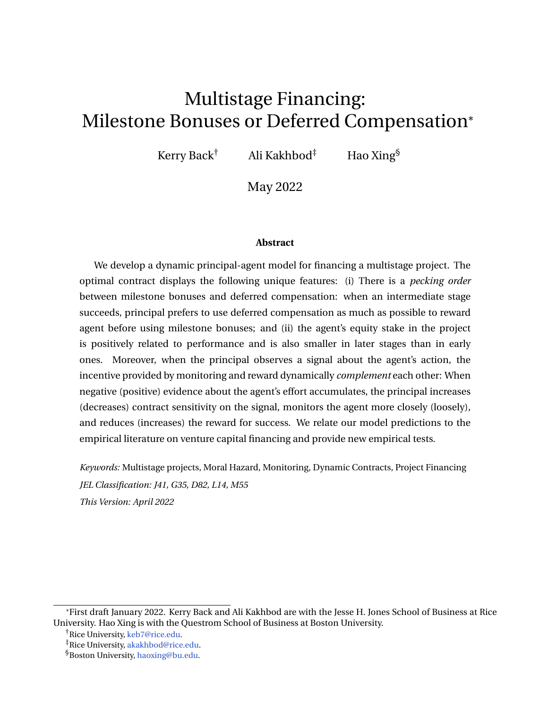- <span id="page-39-5"></span>GREEN, B., AND C. TAYLOR (2006): "Breakthroughs, deadlines, and self-reported progress: contracting for multistage projects," *American Economic Review*, 106(12), 3660–3699.
- <span id="page-39-0"></span>GROSSMAN, G., AND E. HELPMAN (1994): "Endogenous innovation in the theory of growth," *Journal of Economic Perspectives*, 8(1), 23–44.
- <span id="page-39-8"></span>HE, Z. (2009): "Optimal executive compensation when firm size follows geometric Brownian motion," *Review of Financial Studies*, 22, 859–892.
- <span id="page-39-9"></span>(2011): "A model of dynamic compensation and capital structure," *Journal of Financial Economics*, 100, 351–366.
- <span id="page-39-10"></span>(2012): "Dynamic compensation contracts with private savings," *Review of Financial Studies*, 25, 1494–1549.
- <span id="page-39-11"></span>HOFFMANN, F., AND S. PFEIL (2010): "Reward for luck in a dynamic agency model," *Review of Financial Studies*, 23(9), 3329–3345.
- <span id="page-39-13"></span>JACOD, J. (1975): "Multivariate Point Processes: Predictable Projection, Radon-Nikodym Derivatives, Representation of Martingales," *Zeitschrift für Wahrscheinlichkeitstheorie und Verwandte Gebiete*, 31(3), 235–253.
- <span id="page-39-3"></span>KAPLAN, S., AND P. STRÖMBERG (2003): "Financial contracting theory meets the real world: an empirical analysis of venture capital contracts," *Review of Economic Studies*, 70(2), 281– 315.
- <span id="page-39-1"></span>KORTUM, S., AND J. LERNER (2000): "Assessing the contribution of venture capital to innovation," *RAND Journal of Economics*, 31(4), 674–692.
- <span id="page-39-2"></span>LAZEAR, E. (2004): "Balanced skills and entrepreneurship," *American Economic Review*, 94(2), 208–211.
- <span id="page-39-7"></span>MALENKO, A. (2019): "Optimal dynamic capital budgeting," *Review of Economic Studies*, 86(4), 1747–1778.
- <span id="page-39-6"></span>MAYER, S. (2021): "Financing breakthroughs under failure risk," Forthcoming in Journal of Financial Economics.
- <span id="page-39-12"></span>MCCRARY, J. (2008): "Manipulation of the running variable in the regression discontinuity design: a density test," *Journal of Econometrics*, 142(2), 698–714.
- <span id="page-39-4"></span>OYER, P. (2004): "Why do firms use incentives that have no incentive effects?," *Journal of Finance*, 59(4), 1619–1650.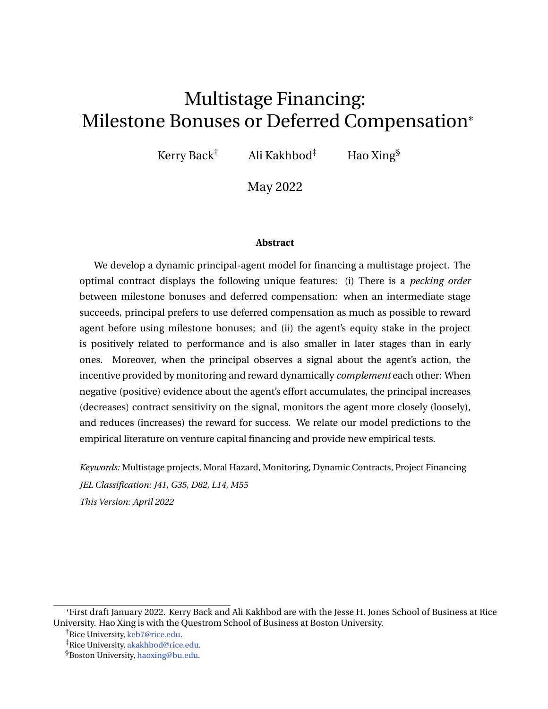- <span id="page-40-1"></span>OYER, P., AND S. SCHAEFER (2005): "Why do some firms give stock options to all employees? An empirical examination of alternative theories," *Journal of Financial Economics*, 76(1), 99–133.
- <span id="page-40-5"></span>PISKORSKI, T., AND M. WESTERFIELD (2016): "Optimal dynamic contracts with moral hazard and costly monitoring," *Journal of Economic Theory*, 166, 242–281.
- <span id="page-40-0"></span>PURI, M., AND R. ZARUTSKIE (2012): "On the life cycle dynamics of venture-capital and nonventure-capital financed firms," *Journal of Finance*, 67(6), 2247–2293.
- <span id="page-40-7"></span>SANNIKOV, Y. (2008): "A continuous-time version of the principal-agent problem," *Review of Economic Studies*, 75(3), 957–984.
- <span id="page-40-4"></span>TOWNSEND, R. (1979): "Optimal contracts and competitive markets with costly state verification," *Journal of Economic Theory*, 21(2), 265–293.
- <span id="page-40-2"></span>TOXVAERD, F. (2006): "Time of the essence," *Journal of Economic Theory*, 129(1), 252–272.
- <span id="page-40-3"></span>VARAS, F. (2018): "Managerial short-termism, turnover policy, and the dynamics of incentives," *Review of Financial Studies*, 31(9), 3409–3451.
- <span id="page-40-6"></span>VARAS, F., I. MARINOVIC, AND A. SKRZYPACZ (2020): "Random inspections and periodic reviews: optimal dynamic monitoring," *Review of Economic Studies*, 87(6), 2893–2937.
- <span id="page-40-9"></span>WILLIAMS, N. (2015): "A solvable continuous time dynamic principal-agent model," *Journal of Economic Theory*, 159, 989–1015.
- <span id="page-40-10"></span>WONG, T.-Y. (2019): "Dynamic agency and endogenous risk-taking," *Management Science*, 65(9), 4032–4048.
- <span id="page-40-8"></span>ZHU, J. (2013): "Optimal contracts with shirking," *Review of Economic Studies*, 80, 812–839.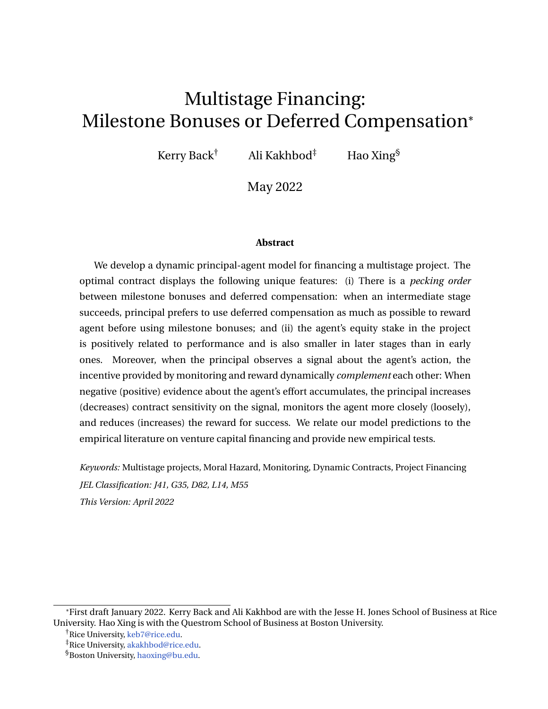### **Appendix A Proofs**

Lemma [2](#page-19-0) is proved below. Lemma [1](#page-10-2) is a special example. In this proof, we consider the possibility that principal pays agent a severance pay *R f* if a stage fails. We show that the expected payoff at a stage completion incentivizes the agent, rather than the success reward or severance pay individually.

#### **Proof of Lemma [2](#page-19-0)**

We first use the following identities to transform the agent's objective function in [\(5\)](#page-10-1):

<span id="page-41-0"></span>**P** *a n* (*i*) > *s*j*n* (*i*) > *t* = *e* R *s t <sup>a</sup>udu* and **P** *a n* (*i*) 2 [*s*,*s* + *ds*)j*n* (*i*) > *t* = *asds e* R *s t audu* . (A.1)

The later identity holds because the conditional probability  $\mathsf{P}^a(\eta^{(i)}_i \supseteq [s,s+ds)/n^{(i)} > t)$ is the product of survival probability  $P^a(n^{(i)} > s/n^{(i)} > t) = e^{\int_{t}^{t} s_a u ds}$  and the probability  $P^a(n^{(i)} \n\geq [s, s + ds)/n^{(i)} > s) = a_s ds$ . (See [Jacod](#page-39-13) [\(1975\)](#page-39-13) for a rigorous treatment.) Utilizing the two identities in [\(A.1\)](#page-41-0), the agent's objective function in [\(5\)](#page-10-1) is transformed to

$$
E_{t}^{\frac{h}{a}}\begin{bmatrix}1\\ t\\ \frac{h}{c} \end{bmatrix}_{\begin{subarray}{l}f_{n}(i) > g_{0}^{e}} & r(s \ t) & dC_{s} + I(\bar{a} & a_{s})ds + \frac{Z}{t} \end{bmatrix}_{\begin{subarray}{l}f_{n}(i) > g_{0}^{e}} & r(s \ t) & U_{s}^{c} & ds + I_{rt} < n^{(i)}g_{0}^{e} & r(t \ t) & \underline{U}^{c} \\ \hline & \frac{h}{c} & \frac{h}{c} & \frac{h}{c} & \frac{h}{c} & \frac{h}{c} & \frac{h}{c} & \frac{h}{c} \\ t & \frac{h}{c} & \frac{h}{c} & \frac{h}{c} & \frac{h}{c} & \frac{h}{c} & \frac{h}{c} & \frac{h}{c} & \frac{h}{c} \\ t & \frac{h}{c} & \frac{h}{c} & \frac{h}{c} & \frac{h}{c} & \frac{h}{c} & \frac{h}{c} & \frac{h}{c} & \frac{h}{c} \\ t & \frac{h}{c} & \frac{h}{c} & \frac{h}{c} & \frac{h}{c} & \frac{h}{c} & \frac{h}{c} & \frac{h}{c} & \frac{h}{c} & \frac{h}{c} \\ \hline & \frac{h}{c} & \frac{h}{c} & \frac{h}{c} & \frac{h}{c} & \frac{h}{c} & \frac{h}{c} & \frac{h}{c} & \frac{h}{c} & \frac{h}{c} & \frac{h}{c} & \frac{h}{c} \\ \hline & \frac{h}{c} & \frac{h}{c} & \frac{h}{c} & \frac{h}{c} & \frac{h}{c} & \frac{h}{c} & \frac{h}{c} & \frac{h}{c} & \frac{h}{c} & \frac{h}{c} & \frac{h}{c} \\ t & \frac{h}{c}
$$

Consider the problem in the first stage. The proof for later stages is similar. A contract  $(C, U^{(2)}, R^{(1)}, R^f)$  is admissible if it satisfies the integrability assumption

<span id="page-41-1"></span>
$$
E^{a} \overset{hZ}{\underset{0}{\ast}} e^{rs} dC_{s} + a_{s}U_{s}^{c}ds \overset{i}{\underset{0}{\ast}} \mathcal{L}.
$$

for any process *a* taking values in [0, *ā*] and  $U^{(2)} + R^{(1)} > R^f$ . Here  $U_f^c = p^{(1)}(a_t)(U_f^{(2)} + R_f^{(1)}$  $_{t}^{(1)}$ ) +  $(1)$  $(1)(a_t)$ )  $R^f$ . The assumption  $U^{(2)} + R^{(1)} > R^f$  ensures reward for success is larger than failure so that the agent does not strategically explore project failure, which is not the best interest for principal.

Given an admissible contract and any agent's effort *a*, define its associated value  $U_{t_R}^a$  as the right-hand side of [\(A.2\)](#page-41-1). The admissibility of the contract implies that  $e^{\int_{0}^{t} a_u du}e^{rt}U_t^a + \int_{0}^{R}t e^{\int_{0}^{s} a_u du}e^{rs} dC_s + I(\bar{a} a_s)ds + a_sU_s^c ds$  is a P<sup>a</sup>-martingale. The martingale representation theorem implies the existence of  $j^a$  such that  $U^a$  follows the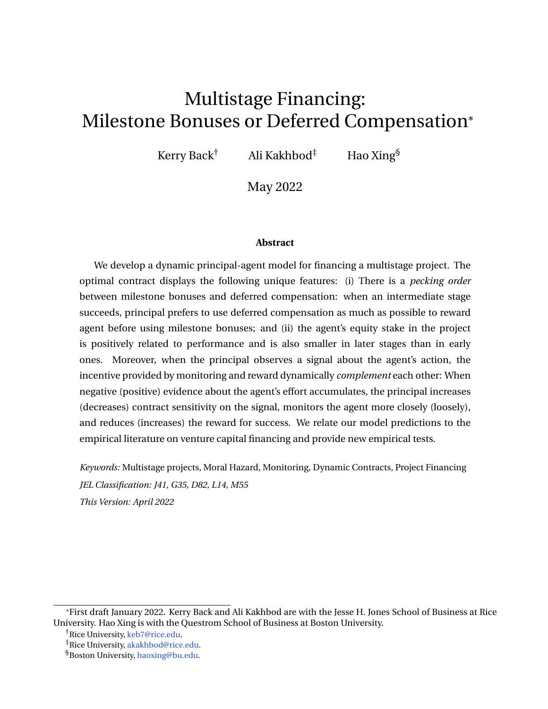dynamics

$$
dU_t^a = (r + a_t)U_t^a dt \t (a a_t) dt \t a_tU_t^c dt + j^a s dB_t^a \t dC_t
$$
  
=  $rU_t^a dt + a_tU_t^a \t (a a_t) \t a_t p^{(1)}(a_t) U_t^{(2)} + R_t^{(1)} \t R^f \t a_t R^f \t j_t^a a_t dt + j_t^a dy_t \t dC_t$ 

with the terminal condition  $U_t^a = \underline{U} + C_t$  *C*<sub>t</sub> *c* Equations [\(5\)](#page-10-1) and [\(A.2\)](#page-41-1) combined yield  $U_t$  = sup<sub>a</sub>  $U_t^a$ . It then follows from the comparison theorem for BSDEs (cf. [El Karoui, Peng,](#page-38-13) [and Quenez](#page-38-13) [\(1997\)](#page-38-13)) that *U* follows the dynamics

<span id="page-42-0"></span>
$$
dU_{t} = rU_{t}dt + \inf_{a_{t} \geq [0,\bar{a}]} a_{t}U_{t} \quad I(\bar{a} \quad a_{t}) \quad a_{t}p^{(1)}(a_{t}) \quad U_{t}^{(2)} + R_{t}^{(1)} \quad R^{f} \quad a_{t}R^{f} \quad j_{t}a_{t} dt
$$
\n
$$
+ j_{t}dy_{t} \quad dC_{t}.
$$
\n(A.3)

This dynamics ensures that

$$
\Theta_t = e^{-\int_{0}^{R} t_{aud}du}e^{-rt}U_t + \int_{0}^{L} e^{-\int_{0}^{R} a_udu}e^{-rs} dC_s + I(\bar{a} - a_s) ds + a_sU_s^c ds
$$

satisfies the martingale principle:  $\Theta$  is a  $P^a$ -supermartingale for arbitrary *a* and is a  $P^a$ martingale for the optimal *a*. Because *a*  $\nabla$  *ap*(*a*) is convex and  $U^{(2)} + R^{(1)} > R^f$ , the optimizer of the minimization problem in [\(A.3\)](#page-42-0) can only be achieved at  $a = 0$  or  $a = \overline{a}$ . Comparing the values of these two actions, we obtain the optimal *a* as

$$
a_t = \begin{cases} \n\bar{a}, & U_t^c + j_t & I + U_t, \\ \n0, & \text{otherwise.} \n\end{cases}
$$

This implies that agent's optimal effort is incentivized by the expected reward  $U^c$ , rather than  $U^{(2)}$ ,  $R^{(1)}$ , and  $R^f$  individually.

To verify the optimality of *a*, we obtain from [\(A.3\)](#page-42-0) implies that  $dU_t$   $rU_t + a_tU_t$  / (*a a*<sub>t</sub>) *a*<sub>t</sub> $U_t^c$  *j*<sub>t</sub> $a_t$  *dt* + *j*<sub>t</sub> $dy_t$  *dC*<sub>t</sub> for arbitrary *a* and the inequality becomes an equality for *a* . Hence  $\Theta_t$  is a P<sup>*a*</sup>-supermartingale and a P<sup>*a*</sup> -martingale when *a* is replaced by *a* . As a result,

$$
U_t \t E_t^a \t e^{hZ} t e^{R_s} a_u du_e r(s \ t) dC_s + I (\bar{a} a_s) ds + a_s U_s^c ds + e^{R_t^t} a_u du_e r(t \ t) \underline{U}
$$

and the inequality becomes an equity when *a* is replaced by *a* . This confirms the optimality of *a* .  $\Box$ 

Due to the risk neutrality of principal, principal's value depends on the expected cash compensation  $p^{(1)}R^{(1)} + (1 - p^{(1)})R^f$  at completion, rather than  $R^{(1)}$  and  $R^f$  individually.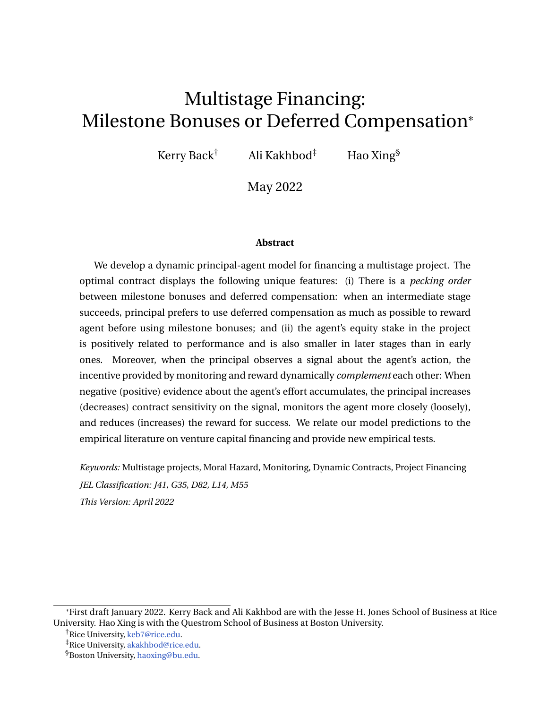Therefore, because both the agent's continuation utility and the principal's value depend on the expected reward rather than cash compensation in different states, we set  $R^f = 0$  and  $(A.3)$  is reduced to  $(25)$ .

If the agent can choose any time  $t$   $t$  to quit the project, we will show  $t = t$  is agent's optimal stopping time. To this end, for arbitrary  $t$   $t$ , due to the  $P^a$ -supermartingale property of  $\Theta$ ,

$$
U_0 = \Theta_0 \quad E^{\frac{hZ}{d}} \, e^{\frac{R_s}{d} a_u du} e^{\, rs} \, dC_s + I \left( \bar{a} \quad a_s \right) ds + a_s U_s^c ds + e^{\frac{R_t}{d} a_u du} e^{\, r \, t} U_t^{\, i}
$$
\n
$$
E^{\frac{hZ}{d}} \, e^{\frac{R_s}{d} a_u du} e^{\, rs} \, dC_s + I \left( \bar{a} \quad a_s \right) ds + a_s U_s^c ds + e^{\frac{R_t}{d} a_u du} e^{\, r \, t} \underline{U}^{\, i}
$$

where the second inequality follows from  $U_t$  *U*. Both inequalities above are equalities when  $a = a$  and  $t = t$ . This confirms that

$$
U_0 = \sup_{a \geq [0,\tilde{a}],\tilde{t}} \mathsf{E}^{a} \qquad e^{\frac{hZ}{0} \, \tilde{t}} e^{\frac{R_s}{0} a_u du} e^{\, rs} \, dC_s + I \, (\tilde{a} \quad a_s) \, ds + a_s U_s^c \, ds + e^{\frac{R_t}{0} a_u du} e^{\, r \, t} \, \underline{U}^{t}
$$

and (*a* , *t*) are the optimal effort and stopping time.

### **Proof of Proposition [1](#page-13-1)**

We first derive the HJB equation  $(13)$ . To this end, the same argument as in  $(A.2)$  transforms *V* into the following form

$$
V_t = \sup_{R,C} E_t^{\bar{a}} \stackrel{hZ}{t}^t e^{r(s-t)} e^{\stackrel{R_s}{t} \bar{a} dz} \qquad dC_s + \bar{a}p \ D \quad R_n \ ds + e^{r(t-t)} e^{\stackrel{R_t}{t} \bar{a} dz} L \ . \tag{A.4}
$$

Then [\(13\)](#page-12-1) follows from the dynamic programming when  $dC_t = c_t dt$ .

When  $U < \overline{U}$ ,  $c = 0$ , plugging [\(16\)](#page-13-0) into [\(13\)](#page-12-1), we obtain

<span id="page-43-0"></span>
$$
1 + V^{\theta} = \frac{\bar{a}pD \quad (r + \bar{a})U \quad (r + \bar{a})V}{\bar{a}l \quad rU}.
$$
 (A.5)

Due to assumptions [\(9\)](#page-11-1) and [\(10\)](#page-12-2), the right-hand side of the previous equation is larger than zero when  $U = U$ , implies that  $V^{\emptyset}(\underline{U}) > 1$  and  $\overline{U} > \underline{U}$ .

We next prove that  $\bar{a}pD$   $(r + \bar{a})U$   $(r + \bar{a})V > 0$  when  $U < \overline{U}$ . To this end,  $V^{\emptyset}(\overline{U}) = 1$ and [\(A.5\)](#page-43-0) imply that

<span id="page-43-1"></span>
$$
\bar{a}pD \quad (r+\bar{a})\overline{U} \quad (r+\bar{a})\,V(\overline{U}) = 0. \tag{A.6}
$$

Starting from  $\overline{U}$  and moving to the left, if there is a sequence  $fU_nq_n$  converging to  $\overline{U}$  such that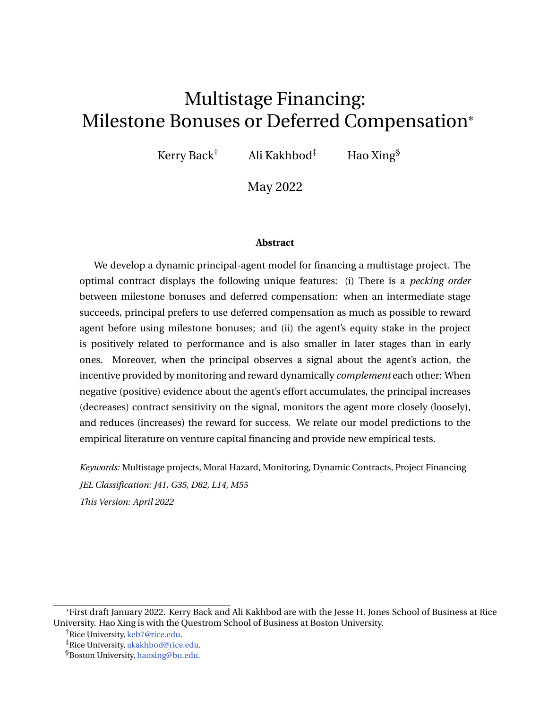$(r + \bar{a})V(U_n) + (r + \bar{a})U_n$  *ap*D, then

$$
V(U_n) \quad \frac{\bar{a}pD \quad (r+\bar{a})U_n}{r+\bar{a}}.
$$

Combining the previous inequality with [\(A.6\)](#page-43-1), we obtain

$$
\frac{V(\overline{U})}{\overline{U}} \frac{V(U_n)}{U_n} \qquad \frac{r+\bar{a}}{r+\bar{a}},
$$

which implies  $V^{\emptyset}(\overline{U})$   $\qquad \frac{r+\overline{\partial}}{r+\overline{\partial}}$  < 1 due to  $r > r$ . This contradicts with  $V^{\emptyset}(\overline{U})$  = 1. Therefore, we confirm the claim.

Now plugging  $1 + V^{\ell} > 0$  and  $\bar{a}pD$   $(r + \bar{a})U$   $(r + \bar{a})V(U) > 0$  into [\(A.5\)](#page-43-0), we conclude that  $\overline{a}$ *l*  $rU > 0$  when  $U < \overline{U}$ . Combining [\(8\)](#page-11-0) with [\(16\)](#page-13-0), we obtain the dynamics of *U*:

$$
dU_t = (rU_t \quad I \bar{a}) dt.
$$

Therefore *U* decreases along its path because  $rU$  *a* $l < 0$ .

### **Proof of Proposition [2](#page-16-2)**

**(i)** When  $U = p^{(1)}\overline{U}^{(2)}$   $I \leq \overline{U}^{(1)}$ , in order to satisfy the incentive compatible constrain, we must have

<span id="page-44-0"></span>
$$
p^{(1)}(U^{(2)} + R^{(1)}) \qquad I + U = p^{(1)}\overline{U}^{(2)}.
$$
 (A.7)

Because  $(V^{(1)})^{\ell}(U)>~~1$  for  $U<\overline{U}^{(1)},$  the first order condition of  $R^{(1)}$  in [\(23\)](#page-16-1) implies  $R^{(1)}=0$ and  $U^{(2)} = \overline{U}^{(2)}$  in order to satisfy the inequality [\(A.7\)](#page-44-0).

When  $p^{(1)}\overline{U}^{(2)}$   $\quad$   $\vert\;<\;U<\overline{U}^{(1)},\;U^{(2)}$  must be  $\overline{U}^{(2)}$  to satisfy the incentive compatible constraint  $p^{(1)}(U^{(2)} + R^{(1)})$  *l* + *U*. Otherwise when  $U < \overline{U}^{(2)}$ ,  $R^{(1)} = 0$ , the inequality  $p^{(1)}(U^{(2)} + R^{(1)})$  *l* + *U* cannot be satisfied. Because  $(V^{(1)})^{\ell}(U)$  > 1, the first order condition of  $R^{(1)}$  in [\(23\)](#page-16-1) implies that the incentive compatible constraint must be binding, hence  $R^{(1)} = \frac{1}{p^{(1)}}(I + U)$   $\overline{U}^{(2)}$ .

(ii) We only need to show  $U^{(2)} > U$  when the first stage succeeds and  $U^{(2)}$   $\overline{U}^{(2)}$ . In this case,  $R^{(1)} = 0$ , then  $p^{(1)}U^{(2)} + U$  implies  $U^{(2)} > U$  thanks to  $p^{(1)} - 1$  and  $l > 0$ .

**(iii)** We claim that

<span id="page-44-1"></span>
$$
p^{(1)} V^{(2)}(U^{(2)}) + U^{(2)} < p^{(2)}D
$$
, for any  $U^{(2)} \overline{U}^{(2)}$ . (A.8)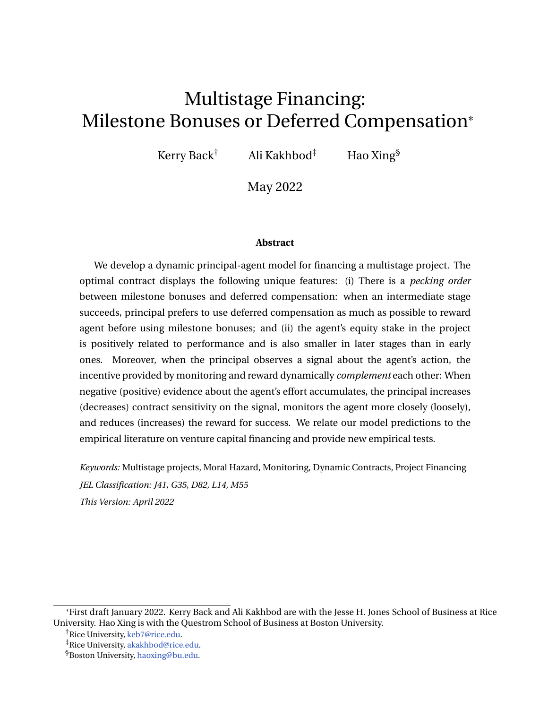To prove this claim, recall from the proof of Proposition [1](#page-13-1) that

$$
(r + \bar{a}) V^{(2)}(U^{(2)}) + (r + \bar{a}) U^{(2)} \quad \bar{a} p^{(2)} D.
$$

Therefore, this inequality and  $r > r$  combined implies

$$
p^{(1)} V^{(2)}(U^{(2)}) + U^{(2)}
$$
  $p^{(1)} \frac{\bar{a}p^{(2)}D}{r + \bar{a}} < p^{(2)}D.$ 

The claim is then confirmed.

Using  $(3)$  and  $(A,1)$ , problem  $(19)$  is transformed into

$$
V_{t}^{(1)} = \sup_{U^{(2)}, R^{(1)}, C} E_{t}^{\frac{1}{\theta}} e^{(r+\bar{a})(s-t)} dC_{s} + \bar{a}p^{(1)} V^{(2)}(U_{s}^{(2)}) R_{s}^{(1)} ds + e^{(r+\bar{a})(s-t)} L
$$
  
\n
$$
= \sup_{U^{(2)}, R^{(1)}, C} E_{t}^{\frac{1}{\theta}} e^{(r+\bar{a})(s-t)} dC_{s} + \bar{a}p^{(1)} V^{(2)}(U_{s}^{(2)}) + U_{s}^{(2)} \bar{a}p^{(1)} U_{s}^{(2)} + R_{s}^{(1)} ds
$$
  
\n
$$
+ e^{(r+\bar{a})(s-t)} L
$$
  
\n
$$
< \sup_{U^{(2)}, R^{(1)}, C} E_{t}^{\frac{1}{\theta}} e^{(r+\bar{a})(s-t)} dC_{s} + \bar{a}p^{(2)}D \bar{a}p^{(1)}(U_{s}^{(2)} + R_{s}^{(1)}) ds + e^{(r+\bar{a})(s-t)} L
$$

where the inequality follows from [\(A.8\)](#page-44-1). Introduce  $R^{(2)}$  so that  $p^{(2)}R^{(2)}_s = p^{(1)}(U^{(2)}_s + R^{(1)}_s)$ . The right-hand side of previous inequality is less than

$$
\sup_{R^{(2)},C} E_{t}^{\frac{1}{a}}e^{(r+\frac{1}{a})(s-t)} dC_{s} + \frac{1}{a}p^{(2)} D R_{s}^{(2)} ds + e^{(r+\frac{1}{a})(s-t)} L,
$$

which is exactly  $V_t^{(2)}$ *t* .

Once we have  $V^{(1)}(U) < V^{(2)}(U)$ , the claim  $\frac{U}{U+V^{(1)}(U)} > \frac{U}{U+V^{(2)}(U)}$  follows.

#### **Proof of Propositions [3](#page-20-4) and [6](#page-33-2)**

We will prove the statements for the general case with nonnegative information cost in [\(39\)](#page-33-0). Proposition [3](#page-20-4) is a special case with  $M = 0$  and  $S_{min} = S_{max}$ .

**Concavity of** *V*. The term with *j* is  $\frac{1}{2}j^2 s^2 V^{\circ}$  on the right-hand side of [\(40\)](#page-33-1). Because *j* is unbounded,  $V^\mathit{W}$  must be nonpositive, otherwise the right-hand side of [\(40\)](#page-33-1) is infinite, which contradicts with the finite *V* on the left-hand side.

To show the strict concavity of *V*, we start from  $\overline{U}$ , where  $V^{\emptyset}(\overline{U})~=~1$  and  $V^{\emptyset\emptyset}(\overline{U})~=~0.$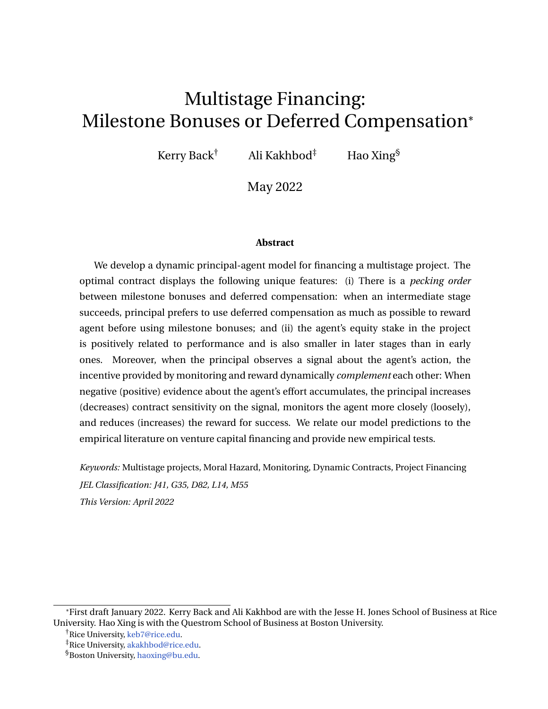Then the limit of [\(40\)](#page-33-1) as  $U / \overline{U}$  is reduced to

$$
(r+\overline{a})\,\mathsf{V}(\overline{U})\,=\,\sup_{\mathsf{S}}\left[\,\overline{a}\,\mathsf{pD}\,\quad \frac{\mathsf{M}}{\mathsf{s}^2}\,\quad (r+\overline{a})\,\overline{U}\,\right]=\overline{a}\,\mathsf{pD}\,\quad \frac{\mathsf{M}}{\mathsf{s}_{\text{max}}^2}\,\quad (r+\overline{a})\,\overline{U}.
$$

Starting from  $\overline{U}$  and moving to the left, it is necessary that  $V(U) < \frac{1}{\zeta + \bar{a}}$   $\bar{a}pD$   $\frac{M}{S_{max}^2}$  $\frac{M}{s_{max}^2}$   $(r + \bar{a})U$ for *U* in a left neighborhood of  $\overline{U}$ . Otherwise, there exists a sequence of points  $U_n$  !  $\overline{U}$  such that  $V(U_n)$   $\frac{1}{r+\overline{a}}$   $\bar{a}pD$   $\frac{M}{s_{\text{max}}^2}$  $\frac{M}{s_{max}^2}$   $(r + \bar{a})U_n$ . This would yield  $V^{\theta}(\overline{U})$   $\frac{r + \bar{a}}{r + \bar{a}} < 1$  because  $r > r$  and contradicts with  $\overline{V}^{\ell}(\overline{U}) = 1$ . If  $V(U) < \frac{1}{r+\overline{a}}$   $\bar{a}pD = \frac{M}{s_{max}^2}$  $\frac{M}{S_{max}^2}$   $(r + \bar{a})U$  for *U* in a left neighborhood of  $\overline{U}$ , then  $V^\mathbb{M} < 0$  in the same neighborhood. To see this, suppose otherwise there is a *U* such that  $V^{\mathcal{W}}(U) = 0$ , then [\(40\)](#page-33-1) is reduced to

$$
(r + \bar{a})V = \sup_{R,s} \bar{a}p(D \quad R) \quad \frac{M}{s^2} + (r + \bar{a})U \quad \bar{a}pR \ V^{\rho}
$$
  
=  $\bar{a}pD \quad \frac{M}{s_{max}^2} + (r + \bar{a})UV^{\rho}$   
 $\bar{a}D \quad \frac{M}{s_{max}^2} \quad (r + \bar{a})U,$ 

where the second equality follows because 1 +  $\mathcal{V}^{\emptyset}$  = 0, hence *R* maximizing =  $\bar{a}R(1 + \mathcal{V}^{\emptyset})$  is zero, the inequality holds due to  $V^\ell$   $\qquad$  1. However, this inequality contradicts with  $V(U) <$  $\frac{1}{r+\bar{a}}$   $\bar{a}$ **D**  $\frac{M}{s_{\text{max}}^2}$  $\frac{M}{S_{max}^2}$  (*r* + *a*̀)*U* . Once the concave function *V* is below the line  $V(U) = \frac{1}{r + a}$  *a*̃D *M*  $\frac{M}{S_{\text{max}}^2}$   $(r + \bar{a})U$  , it can never go above this line. We have just seen that *V* below this line implies the strict concavity of *V*, hence *V* is strictly concave on  $(\underline{U}, \overline{U})$ .

**Optimal** *R* and *j* . The concavity of *V* implies that the optimal *j* is  $l + U$  *R*. The equation [\(40\)](#page-33-1) is then reduced to

<span id="page-46-0"></span>
$$
(r + \bar{a})V = \sup_{R, s} \bar{a}p(D \ R) \frac{M}{s^2} + (r + \bar{a})U \ \bar{a}pR \ V^{\theta} + \frac{1}{2}s^2(I + U \ R)^2V^{\theta}.
$$
 (A.9)

For given *s*, the first order condition in *R* yields

$$
R = \min \left[ \max_{p} \frac{1}{p} I + U + \frac{\bar{a}(1 + V^0)}{s^2 V^0} \right], 0^\circ, D^\circ.
$$

Because 1 +  $V^{\emptyset}$  > 0 and  $V^{\emptyset\emptyset}$  < 0 when  $U\ < \overline{U}$ , the previous expression of *R* with  $s\ =\ s$ implies that  $pR \le l + U$ , hence  $j \ge 0$ .

When the optimal *R* is interior optimal, i.e.,  $R = \frac{1}{p} l + U + \frac{\tilde{a}(1+V^0)}{(s^2)^2 V^W}$  $\frac{d(1+V')}{(s')^2V^{\emptyset}}$ , plugging this expression into [\(40\)](#page-33-1), we obtain

<span id="page-46-1"></span>
$$
(r + \bar{a}) V = \sup_{S2[s_{min}, S_{max}]} \bar{a} \rho D \quad \bar{a} (1 + U) + V^{\circ} (rU \quad \bar{a} I) \qquad \frac{\bar{a}^2 (1 + V^{\circ})^2}{2 V^{\circ \circ}} + M \frac{1}{s^2}^{\circ}.
$$
 (A.10)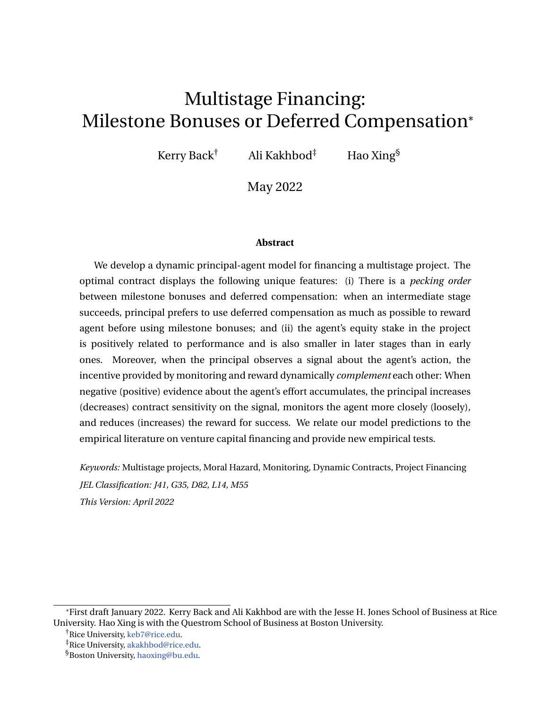Note that the optimization in  $\frac{1}{s^2}$  is linear. Therefore the optimal  $s$  in [\(41\)](#page-33-3) is confirmed.

**Limit of** *R* , *j* and *s* as *U* !  $\overline{U}$ . We will first prove by contradiction that *R* cannot be zero in a neighborhood of  $\overline{U}$ . Suppose otherwise, then equation [\(A.9\)](#page-46-0) is simplified to

<span id="page-47-0"></span>
$$
(r + \bar{a})V = \sup_{S} \left| \bar{a}D - \frac{M}{s^2} + (r + \bar{a})UV^{\theta} + \frac{1}{2}S^2(1 + U)^2V^{\theta} \right|,
$$
 (A.11)

when *U* is in a neighborhood of  $\overline{U}$ . Because lim<sub>*U!*</sub>  $\overline{U}$   $V^{\emptyset}$  = 0,  $\frac{M}{S^2}$  $\frac{M}{s^2} + \frac{1}{2}s^2(1 + U)^2V^{\text{M}}$  is increasing in *s* when *U* is sufficiently close to  $\overline{U}$ . Therefore, we would have *s* = *s*<sub>*max*</sub> in a neighborhood of *U*.

Taking derivative with respect to *U* on both sides of [\(A.11\)](#page-47-0),

$$
(r + \bar{a})V^{\hat{U}} = (r + \bar{a})V^{\hat{U}} + (r + \bar{a})UV^{\hat{U\hat{U}}} + S_{max}^2(1 + U)V^{\hat{U\hat{U}}} + \frac{1}{2}S_{max}^2(1 + U)^2V^{\hat{U\hat{U}}},
$$

when *U* is close to  $\overline{U}$ . Sending *U* !  $\overline{U}$  and using the boundary condition [\(29\)](#page-20-2), we obtain from the previous equation

$$
r \quad r = \frac{1}{2} S_{\text{max}}^2 (I + \overline{U}) V^{\text{UV}}(\overline{U}).
$$

Therefore, due to  $r < r$ ,  $\mathsf{V}^{\textit{NN}}(\overline{U})$  is positive and finite. It then follows from L'Hôpital rule and [\(29\)](#page-20-2) that

$$
\lim_{U/\overline{U}}\frac{1+V^{\theta}}{V^{\theta\theta}}=\lim_{U/\overline{U}}\frac{V^{\theta\theta}}{V^{\theta\theta\theta}}=0.
$$

As a result, [\(32\)](#page-20-6) implies that  $\lim_{U/I} \overline{U}R$  = min $f(I + \overline{U})/p$ , Dg, which contracts with the assumption that  $R$  is zero in a neighborhood of  $\overline{U}$ .

Given that the constraint  $R = 0$  is not binding in a neighborhood of  $\overline{U}$ ,  $R$  is the minimal between D and  $\frac{1}{p}$  *l* + *U* +  $\frac{\tilde{a}(1+V^0)}{s^2V^0}$  $\frac{(1+\nu)}{s^2\sqrt{m}}$  . In the later case, [\(A.10\)](#page-46-1) implies that

<span id="page-47-1"></span>
$$
(r + \bar{a})V = \bar{a}pD \qquad \frac{M}{(s^2)^2} \qquad \bar{a}(l + U) + (rU - \bar{a}l)V^{\theta} \qquad \frac{1}{2}\frac{\bar{a}^2(1 + V^{\theta})^2}{(s^2)V^{\theta}} \qquad (A.12)
$$

holds in a neighborhood of  $\overline{U}.$  Sending  $U$  /  $\overline{U}$  and using the boundary condition  $\mathsf{V}^\emptyset(\overline{U})$  =

1, we obtain from the previous equation that

$$
(r+\bar{a})\,V(\overline{U})\,=\,\bar{a}\rho D\quad\frac{M}{(s\,)^2}\quad(r+\bar{a})\,\overline{U}\quad\lim_{U/\overline{U}}\frac{1}{2}\frac{\bar{a}^2(1+V^0)^2}{(s\,)^2V^\text{m}}.
$$

Meanwhile combining [\(29\)](#page-20-2) and [\(40\)](#page-33-1) yields

$$
(r+\bar{a})\,\mathsf{V}(\overline{\mathsf{U}})\,=\,\bar{a}\rho\mathsf{D}\quad\frac{\mathsf{M}}{(\mathsf{s}\,)^2}\quad(r+\bar{a})\,\overline{\mathsf{U}}.
$$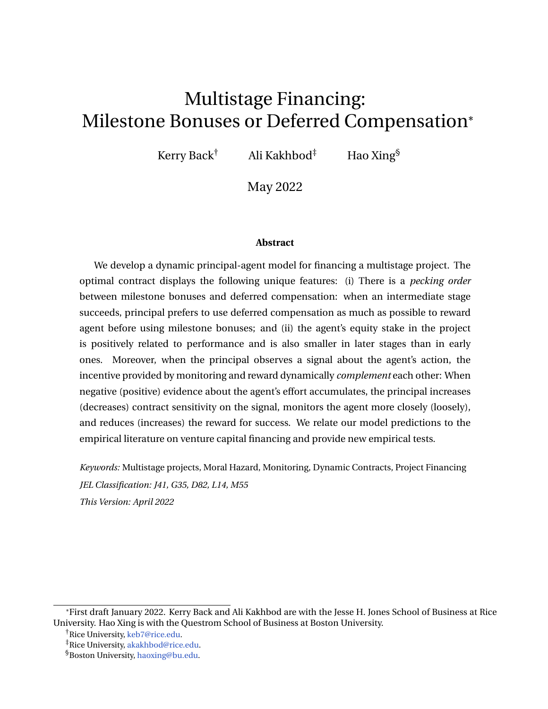Therefore, combining the previous two equations and using *s* > 0, we obtain

<span id="page-48-0"></span>
$$
\lim_{U/\overline{U}}\frac{(1+V^{\prime\prime})^2}{V^{\prime\prime\prime}}=0.
$$
\n(A.13)

Therefore [\(41\)](#page-33-3) implies  $S = S_{max}$  in a neighborhood of  $\overline{U}$ .

Taking the derivative with respect to *U* on both sides of [\(A.12\)](#page-47-1) with  $s = s_{max}$ , we obtain

$$
(r+\overline{a})V^{\theta} = \overline{a} + rV^{\theta} + (rU - \overline{a}I)V^{\theta\theta} - \frac{\overline{a}^{2}}{2S_{max}^{2}}\left(1 + V^{\theta}\right) - \frac{(1 + V^{\theta})^{2}V^{\theta\theta}}{(V^{\theta})^{2}}.
$$

Sending  $U / \overline{U}$ , we obtain

<span id="page-48-1"></span>
$$
r = \lim_{U \uparrow} \frac{\bar{a}^2}{U} \frac{(1 + V^{\theta})^2}{2s_{\text{max}}^2} V^{\text{min}}.
$$
 (A.14)

Combining [\(A.13\)](#page-48-0) and [\(A.14\)](#page-48-1) and using the fact that  $V^{\mathcal{W}} < 0$  and  $r > r$ , we obtain

$$
\lim_{U/\overline{U}} \frac{V^{\text{III}}}{V^{\text{III}}} = \Psi.
$$
 (A.15)

It then follows from L'Hôpital rule that

$$
\lim_{U/\overline{U}}\frac{1+V^{\theta}}{V^{\theta\theta}}=\lim_{U/\overline{U}}\frac{V^{\theta\theta}}{V^{\theta\theta\theta}}=0.
$$

As a result,

$$
\lim_{U/\overline{U}} R = \lim_{U/\overline{U}} \frac{1}{p} I + U + \frac{\bar{a}(1+V^0)}{s^2 V^0} = \frac{1}{p} I + \overline{U}.
$$

Therefore  $\lim_{U / U}$   $\overline{U}$ *j* = *l* +  $\overline{U}$   $\lim_{U / U}$   $\overline{U}$   $pR = 0$ .

### **Proof of Proposition [4](#page-25-0)**

Applying the argument of Proposition [3](#page-20-4) to the second stage problem, due to [\(9\)](#page-11-1), we have

$$
(r + \bar{a}) V^{(2)}(U^{(2)}) + (r + \bar{a}) U^{(2)} \quad \bar{a} p^{(2)} D.
$$

Then  $(A, B)$  holds in the current case and the proof follows from the proof of Proposition [2](#page-16-2) (iii).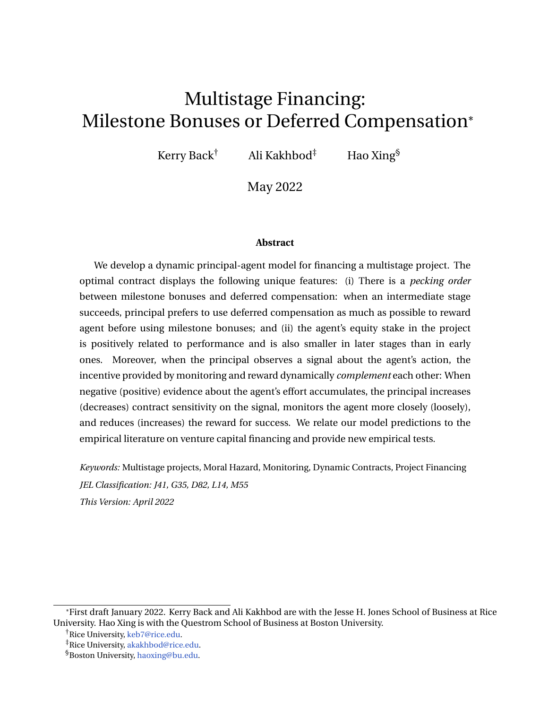### **Proof of Proposition [5](#page-28-3)**

In the stage *i*, the draw on the credit line  $M^{(i)}$  evolves according to

$$
dM_t^{(i)} = rM_t^{(i)}dt + (\bar{a}l - r\overline{U})dt \quad j_t^{(i)}dy_t + dC_t,
$$

where  $(\bar{a}l - r\overline{U})$  dt is the coupon payment to the debt holder,  $dC_t$  is the compensation to the agent if the credit line is repaid in full, and  $j_t^{(i)}$  $t^{\prime\prime}$  *dy<sub>t</sub>* is the contribution from the general partner. Then the previous equation shows that agent's continuation utility  $U_t$  =  $\underline{U}$  +  $(\overline{M}^{(i)}$   $\,$  M (*i*) *t* ) follows

$$
dU_t = rU_t dt \quad \text{and} \quad dt + j_t dy_t \quad dC_t.
$$

If the stage *i* succeeds at time *t*, a new credit line is issued with limit  $\overline{\mathcal{M}}^{(i+1)}$  and the initial balance  $\overline{U}^{(i+1)}$  $U^{(i+1)}$ . Therefore agent's continuation utility jumps to  $U^{(i+1)}$  to start the next stage. Lemma [2](#page-19-0) shows that agent's optimal effort is  $\overline{a}$ . The choice of *C*, *R*, and *j* implies that this capital structure implements the optimal contract.

## <span id="page-49-0"></span>**Appendix B Information acquisition**

Denote *i* as the option exercise time. If it happens before project completion and termination, agent's continuation utility after option exercise depends on the outcome of investigation: If  $D = D<sup>1</sup>$ , the agent gets nothing; if  $D = D<sup>h</sup>$ , the agent gets a new contract with the continuation utility  $U^{eX}$  and a milestone bonus  $R^{eX}$ . Therefore, agent's expected utility right before the option exercise is  $U_i^c = q U^{ex} + R^{ex}$ . If the project is completed at time *n* before the investigation and termination, the agent receives reward  $R_n^{(1)}$  only when the project is of high type and it succeeds. Therefore, the expected reward right before completion is  $p(a_n)qR_n^{(1)}$ . Finally, if the project is terminated at *t* before the completion and the option exercise, the agent receives his outside value *U*. Summarizing these previous three sitations, agent's optimization problem at time 0 is

$$
\sup_{a \geq [0,\bar{a}]} E^{a} e^{rs} dC_{s} + I(\bar{a} a_{s}) ds + I_{\bar{m} < t} \log^{rn} p(a_{n}) q R_{n}^{(1)} + I_{\bar{m} < t} \log^{ri} U_{i}^{c} + I_{\bar{r} t < n} \log^{rt} U_{i}^{c}
$$
\n(B.1)

.

The same argument of Lemma [1](#page-10-2) yields that the agent's continuation utility *U* follows [\(8\)](#page-11-0) and the agent's optimal effort is

$$
a = \begin{cases} \frac{\bar{a}}{2} & \text{if } \rho q R^{(1)} & \text{if } l + U, \\ 0 & \text{otherwise.} \end{cases}
$$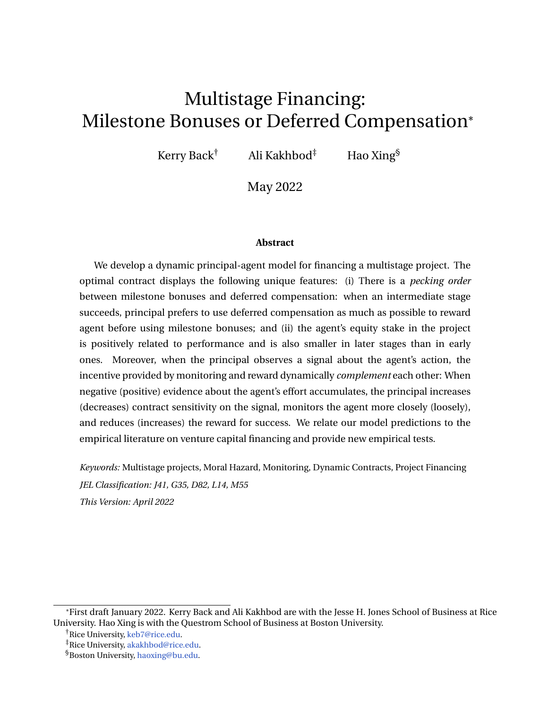Agent's problem after the option exercise is the same as the single-stage situation of Lemma [1.](#page-10-2) Agent's utility *U* follows [\(8\)](#page-11-0) with the initial condition  $U_i = U^{ex}$ , when  $i < n \triangle t$ , and the agent's optimal effort after the option exercise is

$$
a = \begin{cases} \bar{a} & pR^{(2)} & l + U, \\ 0 & \text{otherwise.} \end{cases}
$$

Right before the option exercise time, agent's continuation utility satisfies the promise keeping condition

$$
U_i = q U^{ex} + R^{ex} \t\t(B.2)
$$

so that agent's continuation utility right before the option exercise is exactly the expected payoff afterward.

For the principal, the real option's exercise value is introduced in [\(37\)](#page-30-1) and [\(38\)](#page-30-0). Solving this constrained optimization problem, we obtain

<span id="page-50-0"></span>
$$
U^{ex}(U) = \min \bigg[ \frac{U}{q}, \overline{U}^{(2)} \bigg] \quad \text{and} \quad R^{ex}(U) = \max \bigg[ \frac{U}{q} \bigg] \quad \overline{U}^{(2)}, D^{h} \bigg] \quad \text{(B.3)}
$$

where  $\overline{U}^{(2)}$  is the maximum continuation utility for problem [\(36\)](#page-29-0). It is evident from [\(B.3\)](#page-50-0) that only when  $U^{e\chi}$  reaches  $\overline{U}^{(2)}$  does  $R^{e\chi}$  take positive value.

Before the option exercise and project termination, if the project is completed, the principal receives the high type payoff D *<sup>h</sup>* only when the project is of high type and it is successfully completed. Therefore, when the agent exerts his maximum effort, principal's expected payoff, after netting reward to the agent, is  $pq(D^h \ R^{(1)})$ . Principal's problem at time 0 is

$$
\sup_{C,R^{(1)},i} E^{\bar{a}}\Big|_{0}^{h\,Z}t^{\wedge_{n}\wedge_{i}}e^{-rs}(-dC_{s})+1_{\text{f}_{n}\n(B.4)
$$

subject to the incentive compatible constraint  $pqR^{(1)}$  *l* + *U* and agent's participation constraint.

Using the dynamic programming, we derive the following HJB equation. Principal's value function  $V^{(1)}$  satisfies

<span id="page-50-1"></span>
$$
\begin{array}{ccc}\n\text{min} & \text{n} & \text{n} \\
(r + \bar{a})\,V^{(1)} & \text{sup}^{\text{n}}\,\bar{a}\,pq(D^h & R^{(1)}) + (r + \bar{a})\,U & \bar{a}\,pq\,R^{(1)} & (V^{(1)})^{\circ} \\
 & \text{min} & (V^{(1)})^{\circ} + 1, \,V^{(1)} & G = 0, \\
 & & & (B.5)\n\end{array}
$$